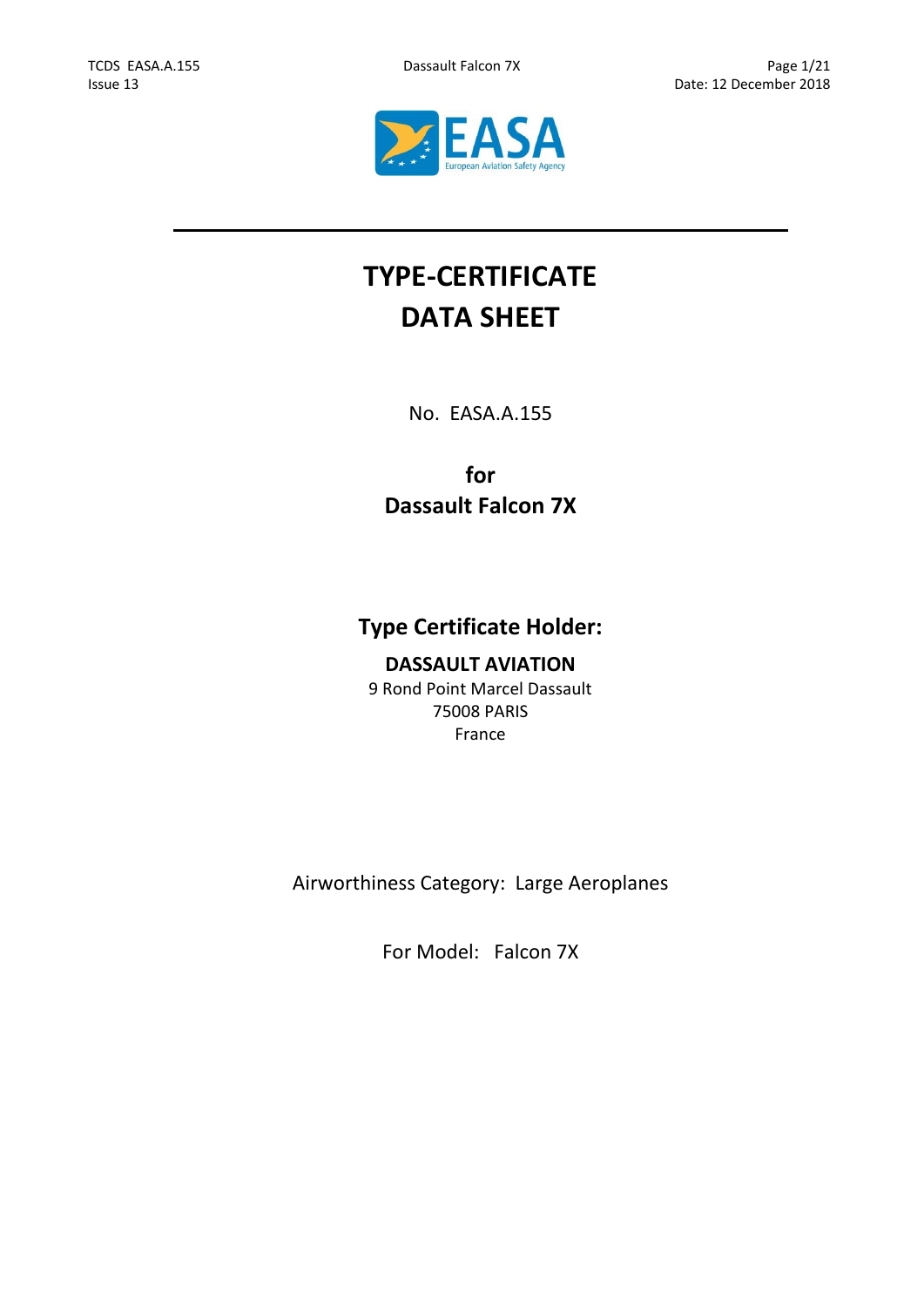

# **TYPE-CERTIFICATE DATA SHEET**

No. EASA.A.155

**for Dassault Falcon 7X**

# **Type Certificate Holder:**

# **DASSAULT AVIATION**

9 Rond Point Marcel Dassault 75008 PARIS France

Airworthiness Category: Large Aeroplanes

For Model: Falcon 7X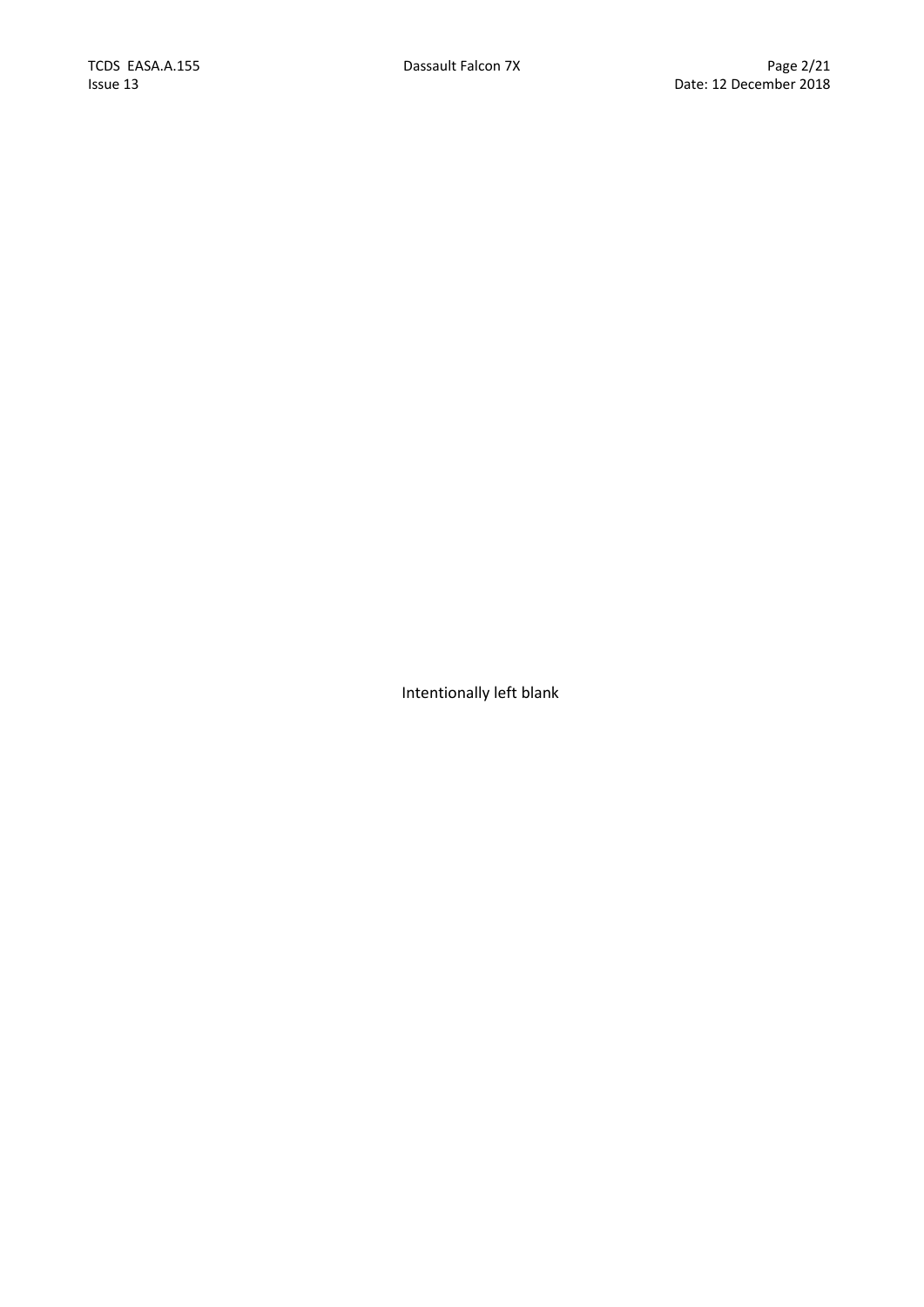Intentionally left blank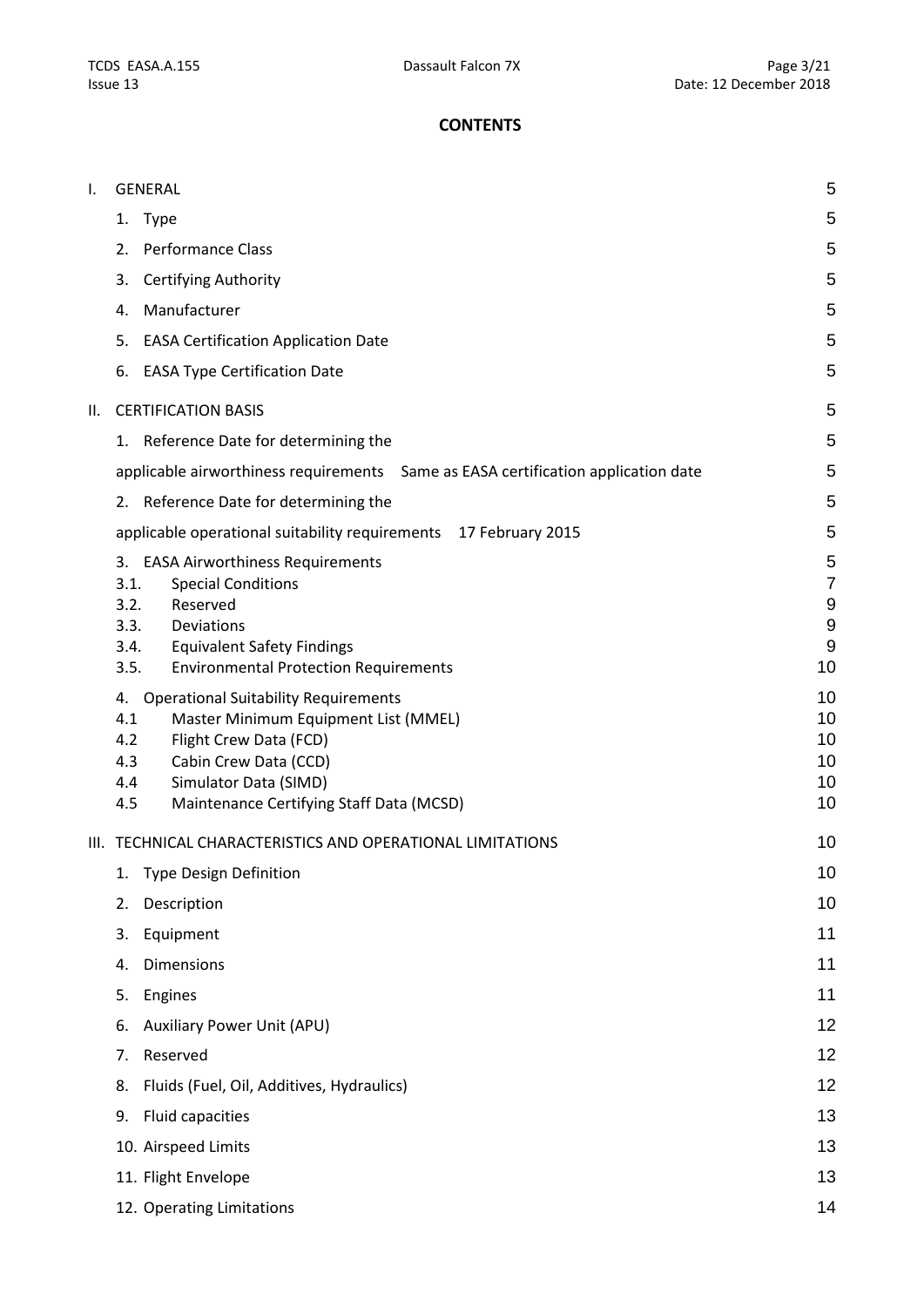#### **CONTENTS**

| I.  |              | <b>GENERAL</b>                                                                      | 5                        |
|-----|--------------|-------------------------------------------------------------------------------------|--------------------------|
|     |              | 1. Type                                                                             | 5                        |
|     | 2.           | <b>Performance Class</b>                                                            | 5                        |
|     | 3.           | <b>Certifying Authority</b>                                                         | 5                        |
|     | 4.           | Manufacturer                                                                        | 5                        |
|     | 5.           | <b>EASA Certification Application Date</b>                                          | 5                        |
|     | 6.           | <b>EASA Type Certification Date</b>                                                 | 5                        |
| II. |              | <b>CERTIFICATION BASIS</b>                                                          | 5                        |
|     | 1.           | Reference Date for determining the                                                  | 5                        |
|     |              | applicable airworthiness requirements Same as EASA certification application date   | 5                        |
|     | 2.           | Reference Date for determining the                                                  | 5                        |
|     |              | applicable operational suitability requirements 17 February 2015                    | 5                        |
|     | 3.1.<br>3.2. | 3. EASA Airworthiness Requirements<br><b>Special Conditions</b><br>Reserved         | 5<br>$\overline{7}$<br>9 |
|     | 3.3.         | Deviations                                                                          | $9\,$                    |
|     | 3.4.         | <b>Equivalent Safety Findings</b>                                                   | 9<br>10                  |
|     | 3.5.         | <b>Environmental Protection Requirements</b>                                        | 10                       |
|     | 4.<br>4.1    | <b>Operational Suitability Requirements</b><br>Master Minimum Equipment List (MMEL) | 10                       |
|     | 4.2          | Flight Crew Data (FCD)                                                              | 10                       |
|     | 4.3<br>4.4   | Cabin Crew Data (CCD)<br>Simulator Data (SIMD)                                      | 10<br>10                 |
|     | 4.5          | Maintenance Certifying Staff Data (MCSD)                                            | 10                       |
|     |              | III. TECHNICAL CHARACTERISTICS AND OPERATIONAL LIMITATIONS                          | 10                       |
|     | 1.           | <b>Type Design Definition</b>                                                       | 10                       |
|     | 2.           | Description                                                                         | 10                       |
|     | 3.           | Equipment                                                                           | 11                       |
|     | 4.           | <b>Dimensions</b>                                                                   | 11                       |
|     | 5.           | Engines                                                                             | 11                       |
|     | 6.           | <b>Auxiliary Power Unit (APU)</b>                                                   | 12                       |
|     | 7.           | Reserved                                                                            | 12                       |
|     | 8.           | Fluids (Fuel, Oil, Additives, Hydraulics)                                           | 12                       |
|     | 9.           | <b>Fluid capacities</b>                                                             | 13                       |
|     |              | 10. Airspeed Limits                                                                 | 13                       |
|     |              | 11. Flight Envelope                                                                 | 13                       |
|     |              | 12. Operating Limitations                                                           | 14                       |
|     |              |                                                                                     |                          |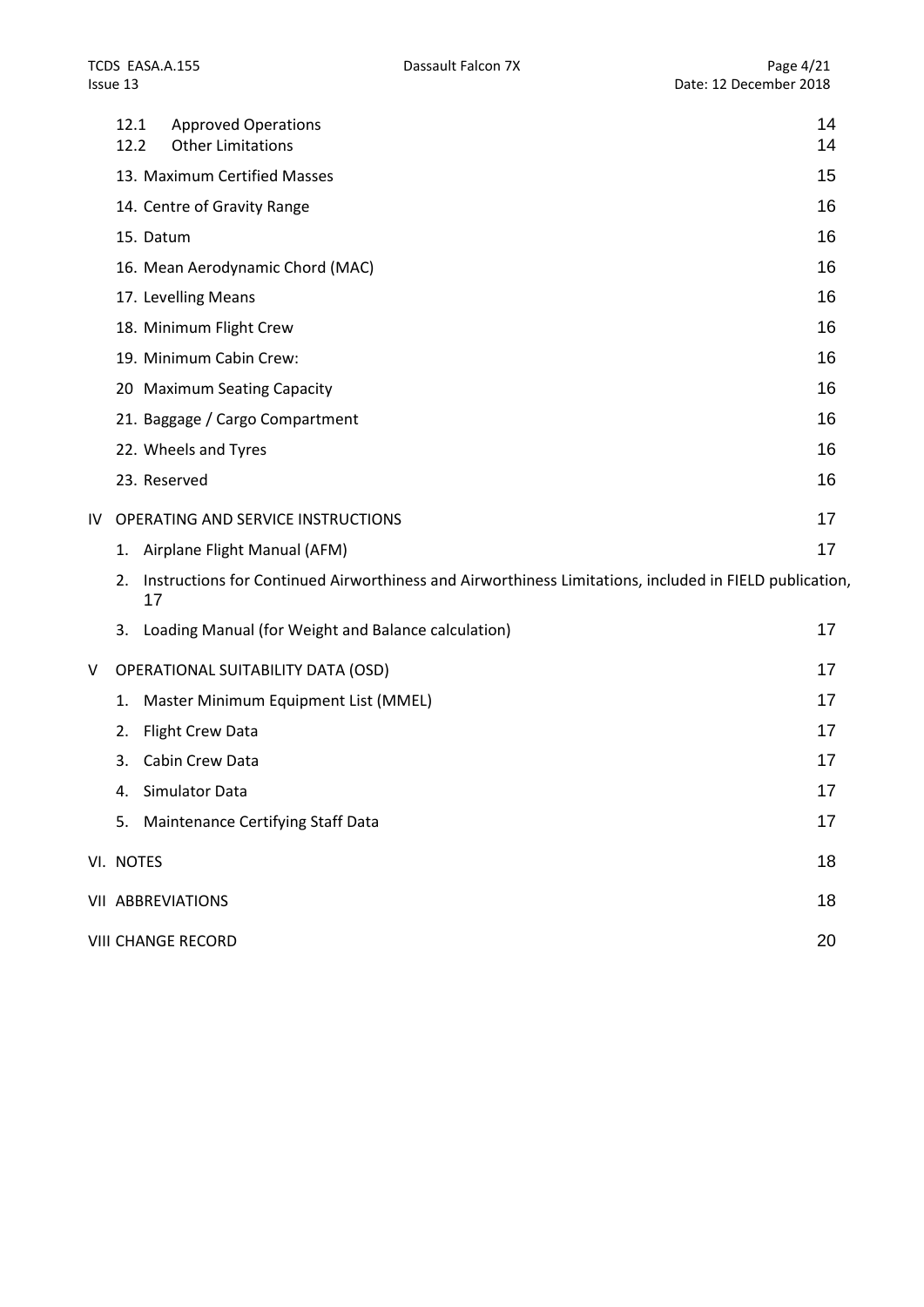|    | 12.1<br>12.2 | <b>Approved Operations</b><br><b>Other Limitations</b>                                                       | 14<br>14 |
|----|--------------|--------------------------------------------------------------------------------------------------------------|----------|
|    |              | 13. Maximum Certified Masses                                                                                 | 15       |
|    |              | 14. Centre of Gravity Range                                                                                  | 16       |
|    |              | 15. Datum                                                                                                    | 16       |
|    |              | 16. Mean Aerodynamic Chord (MAC)                                                                             | 16       |
|    |              | 17. Levelling Means                                                                                          | 16       |
|    |              | 18. Minimum Flight Crew                                                                                      | 16       |
|    |              | 19. Minimum Cabin Crew:                                                                                      | 16       |
|    |              | 20 Maximum Seating Capacity                                                                                  | 16       |
|    |              | 21. Baggage / Cargo Compartment                                                                              | 16       |
|    |              | 22. Wheels and Tyres                                                                                         | 16       |
|    |              | 23. Reserved                                                                                                 | 16       |
| IV |              | OPERATING AND SERVICE INSTRUCTIONS                                                                           | 17       |
|    | 1.           | Airplane Flight Manual (AFM)                                                                                 | 17       |
|    | 2.           | Instructions for Continued Airworthiness and Airworthiness Limitations, included in FIELD publication,<br>17 |          |
|    | 3.           | Loading Manual (for Weight and Balance calculation)                                                          | 17       |
| V  |              | OPERATIONAL SUITABILITY DATA (OSD)                                                                           | 17       |
|    | 1.           | Master Minimum Equipment List (MMEL)                                                                         | 17       |
|    | 2.           | <b>Flight Crew Data</b>                                                                                      | 17       |
|    | 3.           | Cabin Crew Data                                                                                              | 17       |
|    | 4.           | Simulator Data                                                                                               | 17       |
|    |              | 5. Maintenance Certifying Staff Data                                                                         | 17       |
|    |              | VI. NOTES                                                                                                    | 18       |
|    |              | <b>VII ABBREVIATIONS</b>                                                                                     | 18       |
|    |              | <b>VIII CHANGE RECORD</b>                                                                                    | 20       |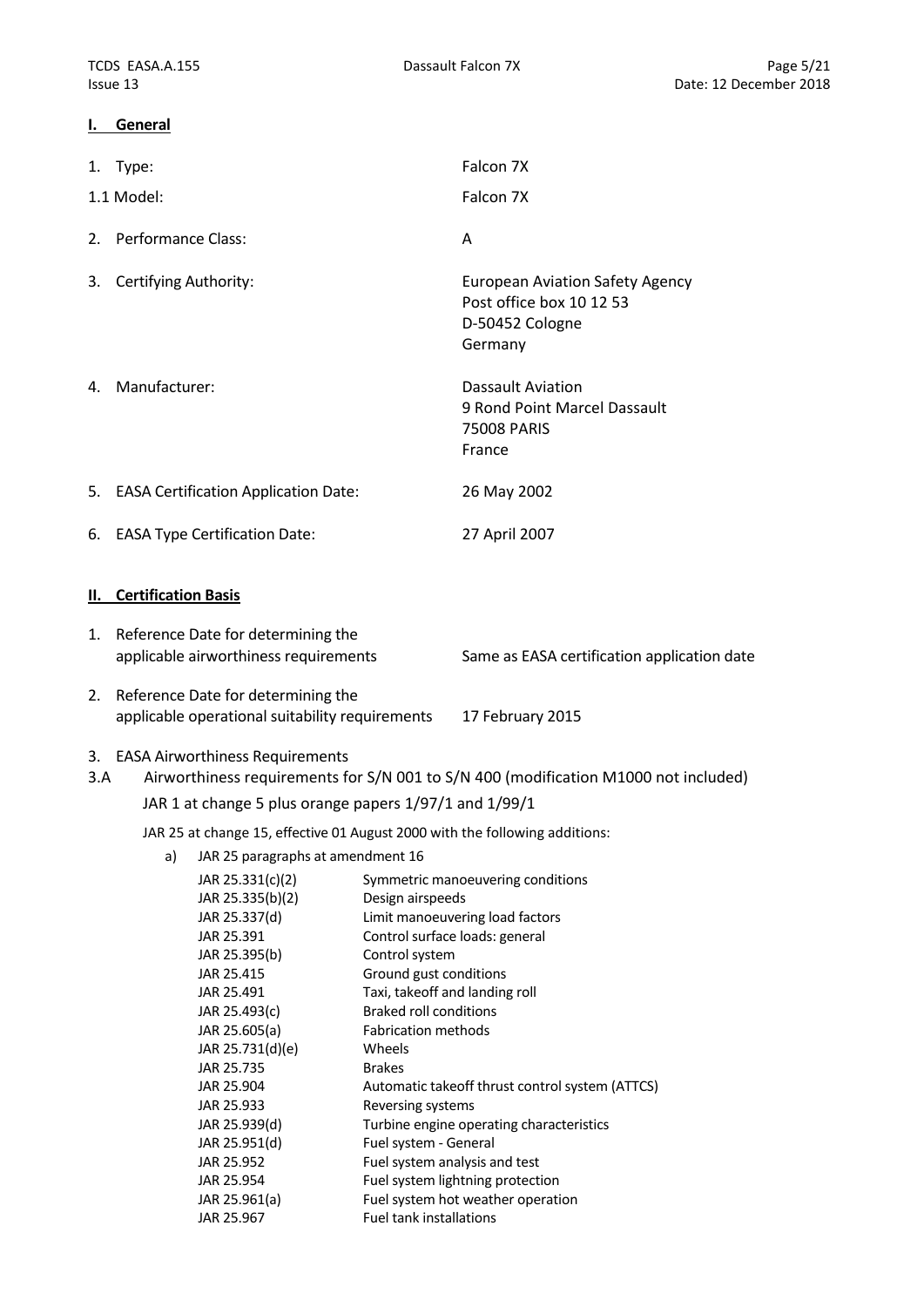#### <span id="page-4-0"></span>**I. General**

<span id="page-4-9"></span><span id="page-4-8"></span><span id="page-4-7"></span><span id="page-4-6"></span><span id="page-4-5"></span><span id="page-4-4"></span><span id="page-4-3"></span><span id="page-4-2"></span><span id="page-4-1"></span>

|     | 1. Type:                       |                                                                                          |                               | Falcon 7X                                                                                        |
|-----|--------------------------------|------------------------------------------------------------------------------------------|-------------------------------|--------------------------------------------------------------------------------------------------|
|     | 1.1 Model:                     |                                                                                          |                               | Falcon 7X                                                                                        |
|     | 2. Performance Class:          |                                                                                          |                               | A                                                                                                |
|     |                                |                                                                                          |                               |                                                                                                  |
|     | 3. Certifying Authority:       |                                                                                          |                               | <b>European Aviation Safety Agency</b><br>Post office box 10 12 53<br>D-50452 Cologne<br>Germany |
|     | 4. Manufacturer:               |                                                                                          |                               | Dassault Aviation<br>9 Rond Point Marcel Dassault<br><b>75008 PARIS</b><br>France                |
|     |                                | 5. EASA Certification Application Date:                                                  |                               | 26 May 2002                                                                                      |
|     |                                | 6. EASA Type Certification Date:                                                         |                               | 27 April 2007                                                                                    |
|     | <b>II.</b> Certification Basis |                                                                                          |                               |                                                                                                  |
|     |                                |                                                                                          |                               |                                                                                                  |
|     |                                | 1. Reference Date for determining the<br>applicable airworthiness requirements           |                               | Same as EASA certification application date                                                      |
|     |                                | 2. Reference Date for determining the<br>applicable operational suitability requirements |                               | 17 February 2015                                                                                 |
|     |                                | 3. EASA Airworthiness Requirements                                                       |                               |                                                                                                  |
| 3.A |                                |                                                                                          |                               | Airworthiness requirements for S/N 001 to S/N 400 (modification M1000 not included)              |
|     |                                | JAR 1 at change 5 plus orange papers 1/97/1 and 1/99/1                                   |                               |                                                                                                  |
|     |                                |                                                                                          |                               | JAR 25 at change 15, effective 01 August 2000 with the following additions:                      |
|     |                                |                                                                                          |                               |                                                                                                  |
|     | a)                             | JAR 25 paragraphs at amendment 16<br>JAR 25.331(c)(2)<br>JAR 25.335(b)(2)                | Design airspeeds              | Symmetric manoeuvering conditions                                                                |
|     |                                | JAR 25.337(d)                                                                            |                               | Limit manoeuvering load factors                                                                  |
|     |                                | JAR 25.391                                                                               |                               | Control surface loads: general                                                                   |
|     |                                | JAR 25.395(b)                                                                            | Control system                |                                                                                                  |
|     |                                | JAR 25.415                                                                               | Ground gust conditions        |                                                                                                  |
|     |                                | JAR 25.491                                                                               |                               | Taxi, takeoff and landing roll                                                                   |
|     |                                | JAR 25.493(c)                                                                            | <b>Braked roll conditions</b> |                                                                                                  |
|     |                                | JAR 25.605(a)                                                                            | <b>Fabrication methods</b>    |                                                                                                  |
|     |                                | JAR 25.731(d)(e)                                                                         | Wheels                        |                                                                                                  |
|     |                                | JAR 25.735                                                                               | <b>Brakes</b>                 |                                                                                                  |
|     |                                | JAR 25.904                                                                               |                               | Automatic takeoff thrust control system (ATTCS)                                                  |
|     |                                | JAR 25.933                                                                               | Reversing systems             |                                                                                                  |
|     |                                | JAR 25.939(d)                                                                            |                               | Turbine engine operating characteristics                                                         |
|     |                                | JAR 25.951(d)<br>JAR 25.952                                                              | Fuel system - General         | Fuel system analysis and test                                                                    |
|     |                                |                                                                                          |                               |                                                                                                  |

<span id="page-4-12"></span><span id="page-4-11"></span><span id="page-4-10"></span>JAR 25.954 Fuel system lightning protection<br>JAR 25.961(a) Fuel system hot weather operati JAR 25.961(a) Fuel system hot weather operation<br>JAR 25.967 Fuel tank installations

Fuel tank installations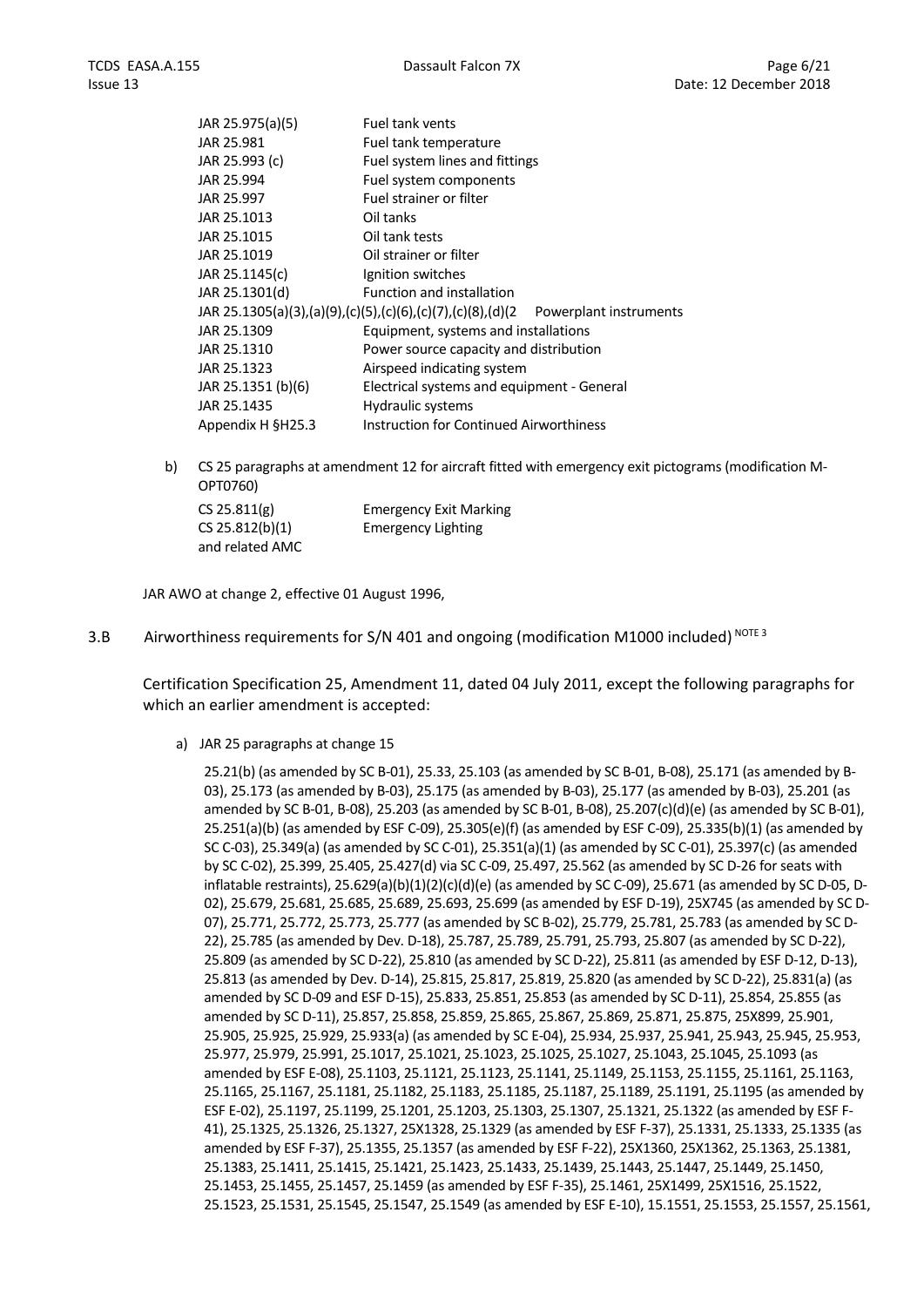| JAR 25.975(a)(5)   | Fuel tank vents                                                                   |
|--------------------|-----------------------------------------------------------------------------------|
| JAR 25.981         | Fuel tank temperature                                                             |
| JAR 25.993 (c)     | Fuel system lines and fittings                                                    |
| JAR 25.994         | Fuel system components                                                            |
| JAR 25.997         | Fuel strainer or filter                                                           |
| JAR 25.1013        | Oil tanks                                                                         |
| JAR 25.1015        | Oil tank tests                                                                    |
| JAR 25.1019        | Oil strainer or filter                                                            |
| JAR 25.1145(c)     | Ignition switches                                                                 |
| JAR 25.1301(d)     | <b>Function and installation</b>                                                  |
|                    | JAR 25.1305(a)(3),(a)(9),(c)(5),(c)(6),(c)(7),(c)(8),(d)(2 Powerplant instruments |
| JAR 25.1309        | Equipment, systems and installations                                              |
| JAR 25.1310        | Power source capacity and distribution                                            |
| JAR 25.1323        | Airspeed indicating system                                                        |
| JAR 25.1351 (b)(6) | Electrical systems and equipment - General                                        |
| JAR 25.1435        | Hydraulic systems                                                                 |
| Appendix H §H25.3  | <b>Instruction for Continued Airworthiness</b>                                    |
|                    |                                                                                   |

b) CS 25 paragraphs at amendment 12 for aircraft fitted with emergency exit pictograms (modification M-OPT0760) CS 25.811(g) Emergency Exit Marking CS 25.812(b)(1) Emergency Lighting

and related AMC

JAR AWO at change 2, effective 01 August 1996,

3.B Airworthiness requirements for S/N 401 and ongoing (modification M1000 included) NOTE 3

Certification Specification 25, Amendment 11, dated 04 July 2011, except the following paragraphs for which an earlier amendment is accepted:

a) JAR 25 paragraphs at change 15

25.21(b) (as amended by SC B-01), 25.33, 25.103 (as amended by SC B-01, B-08), 25.171 (as amended by B-03), 25.173 (as amended by B-03), 25.175 (as amended by B-03), 25.177 (as amended by B-03), 25.201 (as amended by SC B-01, B-08), 25.203 (as amended by SC B-01, B-08), 25.207(c)(d)(e) (as amended by SC B-01), 25.251(a)(b) (as amended by ESF C-09), 25.305(e)(f) (as amended by ESF C-09), 25.335(b)(1) (as amended by SC C-03), 25.349(a) (as amended by SC C-01), 25.351(a)(1) (as amended by SC C-01), 25.397(c) (as amended by SC C-02), 25.399, 25.405, 25.427(d) via SC C-09, 25.497, 25.562 (as amended by SC D-26 for seats with inflatable restraints), 25.629(a)(b)(1)(2)(c)(d)(e) (as amended by SC C-09), 25.671 (as amended by SC D-05, D-02), 25.679, 25.681, 25.685, 25.689, 25.693, 25.699 (as amended by ESF D-19), 25X745 (as amended by SC D-07), 25.771, 25.772, 25.773, 25.777 (as amended by SC B-02), 25.779, 25.781, 25.783 (as amended by SC D-22), 25.785 (as amended by Dev. D-18), 25.787, 25.789, 25.791, 25.793, 25.807 (as amended by SC D-22), 25.809 (as amended by SC D-22), 25.810 (as amended by SC D-22), 25.811 (as amended by ESF D-12, D-13), 25.813 (as amended by Dev. D-14), 25.815, 25.817, 25.819, 25.820 (as amended by SC D-22), 25.831(a) (as amended by SC D-09 and ESF D-15), 25.833, 25.851, 25.853 (as amended by SC D-11), 25.854, 25.855 (as amended by SC D-11), 25.857, 25.858, 25.859, 25.865, 25.867, 25.869, 25.871, 25.875, 25X899, 25.901, 25.905, 25.925, 25.929, 25.933(a) (as amended by SC E-04), 25.934, 25.937, 25.941, 25.943, 25.945, 25.953, 25.977, 25.979, 25.991, 25.1017, 25.1021, 25.1023, 25.1025, 25.1027, 25.1043, 25.1045, 25.1093 (as amended by ESF E-08), 25.1103, 25.1121, 25.1123, 25.1141, 25.1149, 25.1153, 25.1155, 25.1161, 25.1163, 25.1165, 25.1167, 25.1181, 25.1182, 25.1183, 25.1185, 25.1187, 25.1189, 25.1191, 25.1195 (as amended by ESF E-02), 25.1197, 25.1199, 25.1201, 25.1203, 25.1303, 25.1307, 25.1321, 25.1322 (as amended by ESF F-41), 25.1325, 25.1326, 25.1327, 25X1328, 25.1329 (as amended by ESF F-37), 25.1331, 25.1333, 25.1335 (as amended by ESF F-37), 25.1355, 25.1357 (as amended by ESF F-22), 25X1360, 25X1362, 25.1363, 25.1381, 25.1383, 25.1411, 25.1415, 25.1421, 25.1423, 25.1433, 25.1439, 25.1443, 25.1447, 25.1449, 25.1450, 25.1453, 25.1455, 25.1457, 25.1459 (as amended by ESF F-35), 25.1461, 25X1499, 25X1516, 25.1522, 25.1523, 25.1531, 25.1545, 25.1547, 25.1549 (as amended by ESF E-10), 15.1551, 25.1553, 25.1557, 25.1561,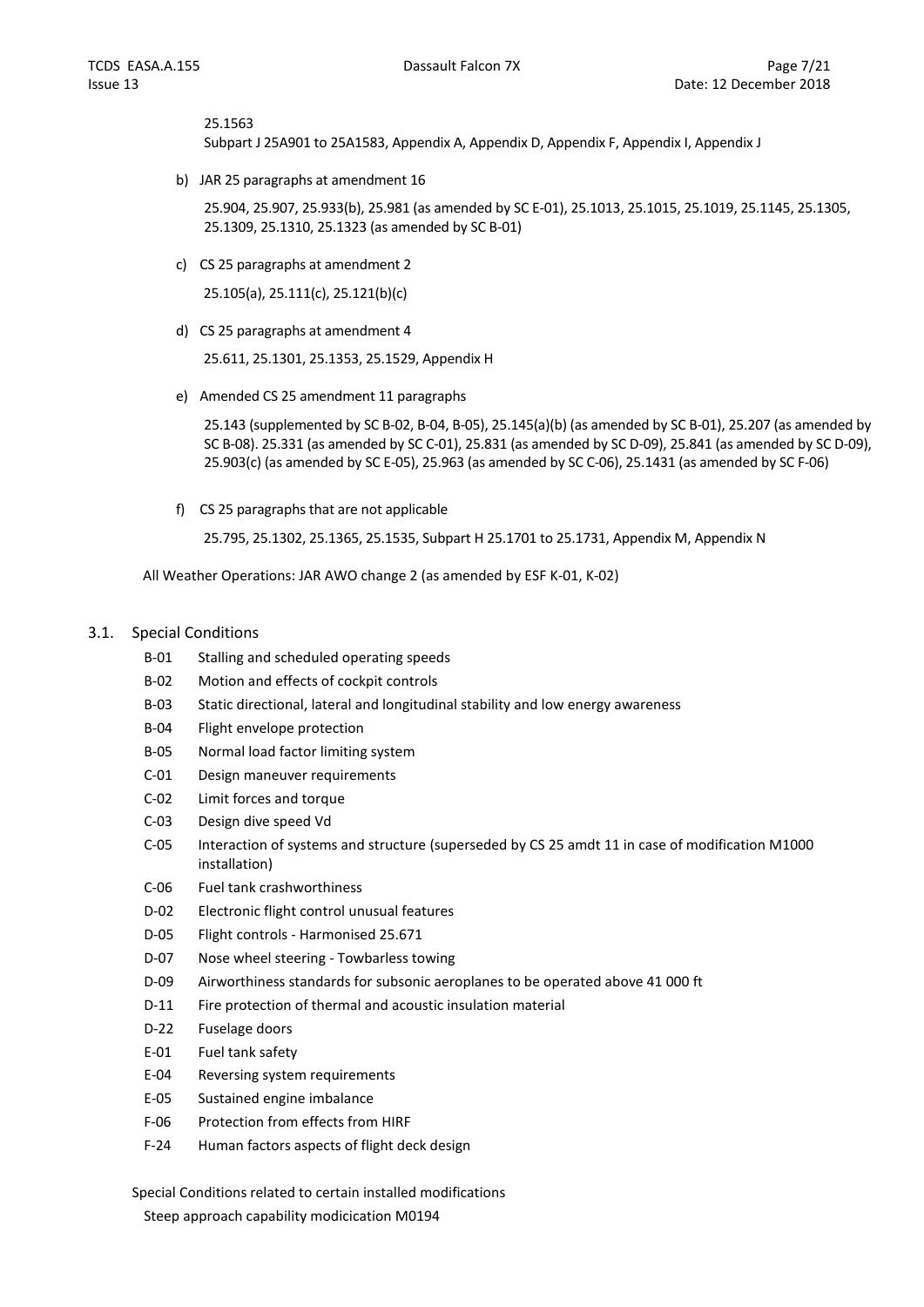25.1563

Subpart J 25A901 to 25A1583, Appendix A, Appendix D, Appendix F, Appendix I, Appendix J

b) JAR 25 paragraphs at amendment 16

25.904, 25.907, 25.933(b), 25.981 (as amended by SC E-01), 25.1013, 25.1015, 25.1019, 25.1145, 25.1305, 25.1309, 25.1310, 25.1323 (as amended by SC B-01)

c) CS 25 paragraphs at amendment 2

25.105(a), 25.111(c), 25.121(b)(c)

d) CS 25 paragraphs at amendment 4

25.611, 25.1301, 25.1353, 25.1529, Appendix H

e) Amended CS 25 amendment 11 paragraphs

25.143 (supplemented by SC B-02, B-04, B-05), 25.145(a)(b) (as amended by SC B-01), 25.207 (as amended by SC B-08). 25.331 (as amended by SC C-01), 25.831 (as amended by SC D-09), 25.841 (as amended by SC D-09), 25.903(c) (as amended by SC E-05), 25.963 (as amended by SC C-06), 25.1431 (as amended by SC F-06)

f) CS 25 paragraphs that are not applicable

25.795, 25.1302, 25.1365, 25.1535, Subpart H 25.1701 to 25.1731, Appendix M, Appendix N

All Weather Operations: JAR AWO change 2 (as amended by ESF K-01, K-02)

#### <span id="page-6-0"></span>3.1. Special Conditions

- B-01 Stalling and scheduled operating speeds
- B-02 Motion and effects of cockpit controls
- B-03 Static directional, lateral and longitudinal stability and low energy awareness
- B-04 Flight envelope protection
- B-05 Normal load factor limiting system
- C-01 Design maneuver requirements
- C-02 Limit forces and torque
- C-03 Design dive speed Vd
- C-05 Interaction of systems and structure (superseded by CS 25 amdt 11 in case of modification M1000 installation)
- C-06 Fuel tank crashworthiness
- D-02 Electronic flight control unusual features
- D-05 Flight controls Harmonised 25.671
- D-07 Nose wheel steering Towbarless towing
- D-09 Airworthiness standards for subsonic aeroplanes to be operated above 41 000 ft
- D-11 Fire protection of thermal and acoustic insulation material
- D-22 Fuselage doors
- E-01 Fuel tank safety
- E-04 Reversing system requirements
- E-05 Sustained engine imbalance
- F-06 Protection from effects from HIRF
- F-24 Human factors aspects of flight deck design

Special Conditions related to certain installed modifications

Steep approach capability modicication M0194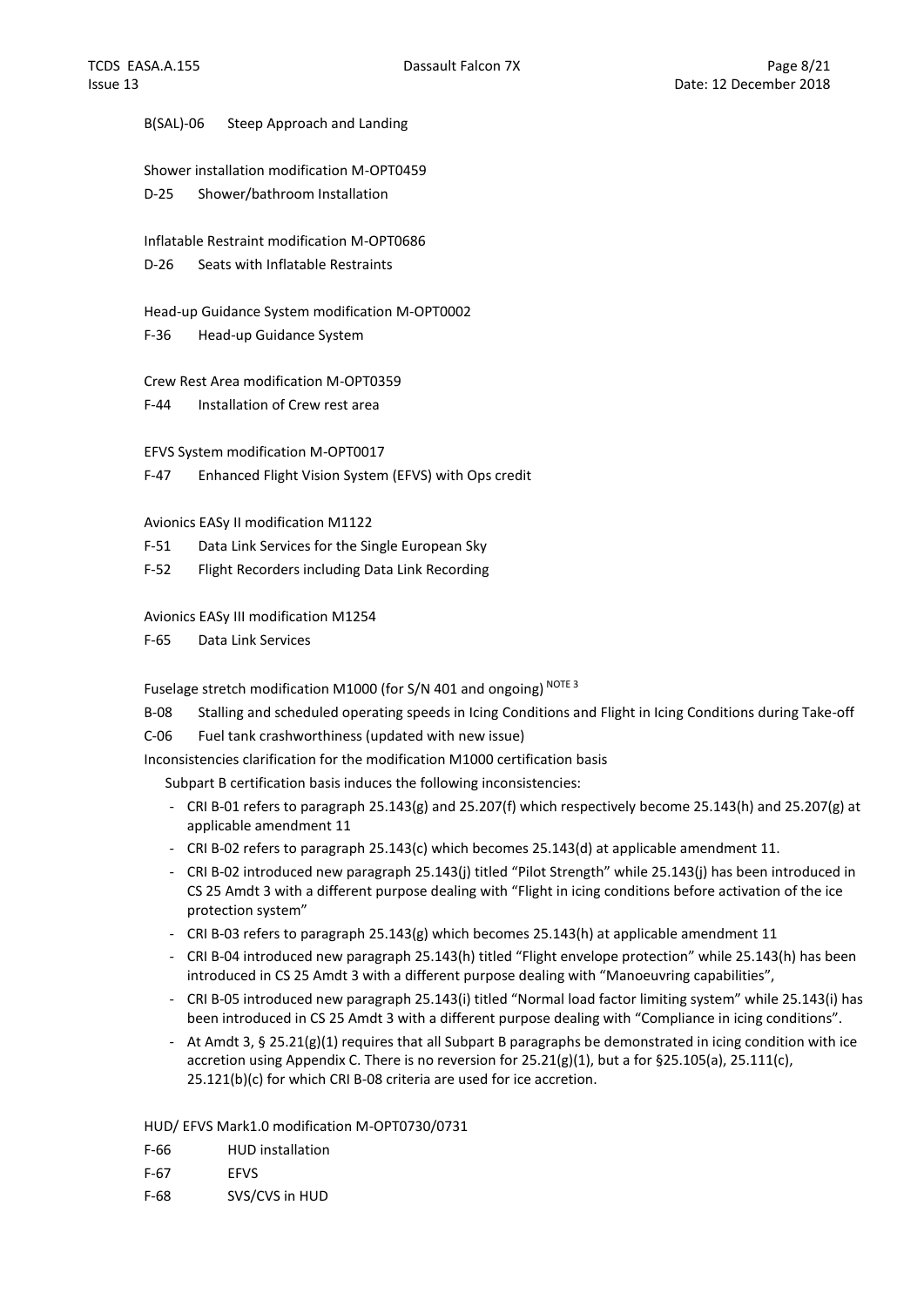B(SAL)-06 Steep Approach and Landing

Shower installation modification M-OPT0459

D-25 Shower/bathroom Installation

Inflatable Restraint modification M-OPT0686

D-26 Seats with Inflatable Restraints

Head-up Guidance System modification M-OPT0002

F-36 Head-up Guidance System

Crew Rest Area modification M-OPT0359

F-44 Installation of Crew rest area

EFVS System modification M-OPT0017

F-47 Enhanced Flight Vision System (EFVS) with Ops credit

Avionics EASy II modification M1122

F-51 Data Link Services for the Single European Sky

F-52 Flight Recorders including Data Link Recording

Avionics EASy III modification M1254

F-65 Data Link Services

Fuselage stretch modification M1000 (for S/N 401 and ongoing) NOTE 3

B-08 Stalling and scheduled operating speeds in Icing Conditions and Flight in Icing Conditions during Take-off

C-06 Fuel tank crashworthiness (updated with new issue)

Inconsistencies clarification for the modification M1000 certification basis

Subpart B certification basis induces the following inconsistencies:

- CRI B-01 refers to paragraph 25.143(g) and 25.207(f) which respectively become 25.143(h) and 25.207(g) at applicable amendment 11
- CRI B-02 refers to paragraph 25.143(c) which becomes 25.143(d) at applicable amendment 11.
- CRI B-02 introduced new paragraph 25.143(j) titled "Pilot Strength" while 25.143(j) has been introduced in CS 25 Amdt 3 with a different purpose dealing with "Flight in icing conditions before activation of the ice protection system"
- CRI B-03 refers to paragraph 25.143(g) which becomes 25.143(h) at applicable amendment 11
- CRI B-04 introduced new paragraph 25.143(h) titled "Flight envelope protection" while 25.143(h) has been introduced in CS 25 Amdt 3 with a different purpose dealing with "Manoeuvring capabilities",
- CRI B-05 introduced new paragraph 25.143(i) titled "Normal load factor limiting system" while 25.143(i) has been introduced in CS 25 Amdt 3 with a different purpose dealing with "Compliance in icing conditions".
- At Amdt 3, § 25.21(g)(1) requires that all Subpart B paragraphs be demonstrated in icing condition with ice accretion using Appendix C. There is no reversion for  $25.21(g)(1)$ , but a for  $\S 25.105(a)$ , 25.111(c), 25.121(b)(c) for which CRI B-08 criteria are used for ice accretion.

HUD/ EFVS Mark1.0 modification M-OPT0730/0731

F-66 HUD installation

- F-67 EFVS
- F-68 SVS/CVS in HUD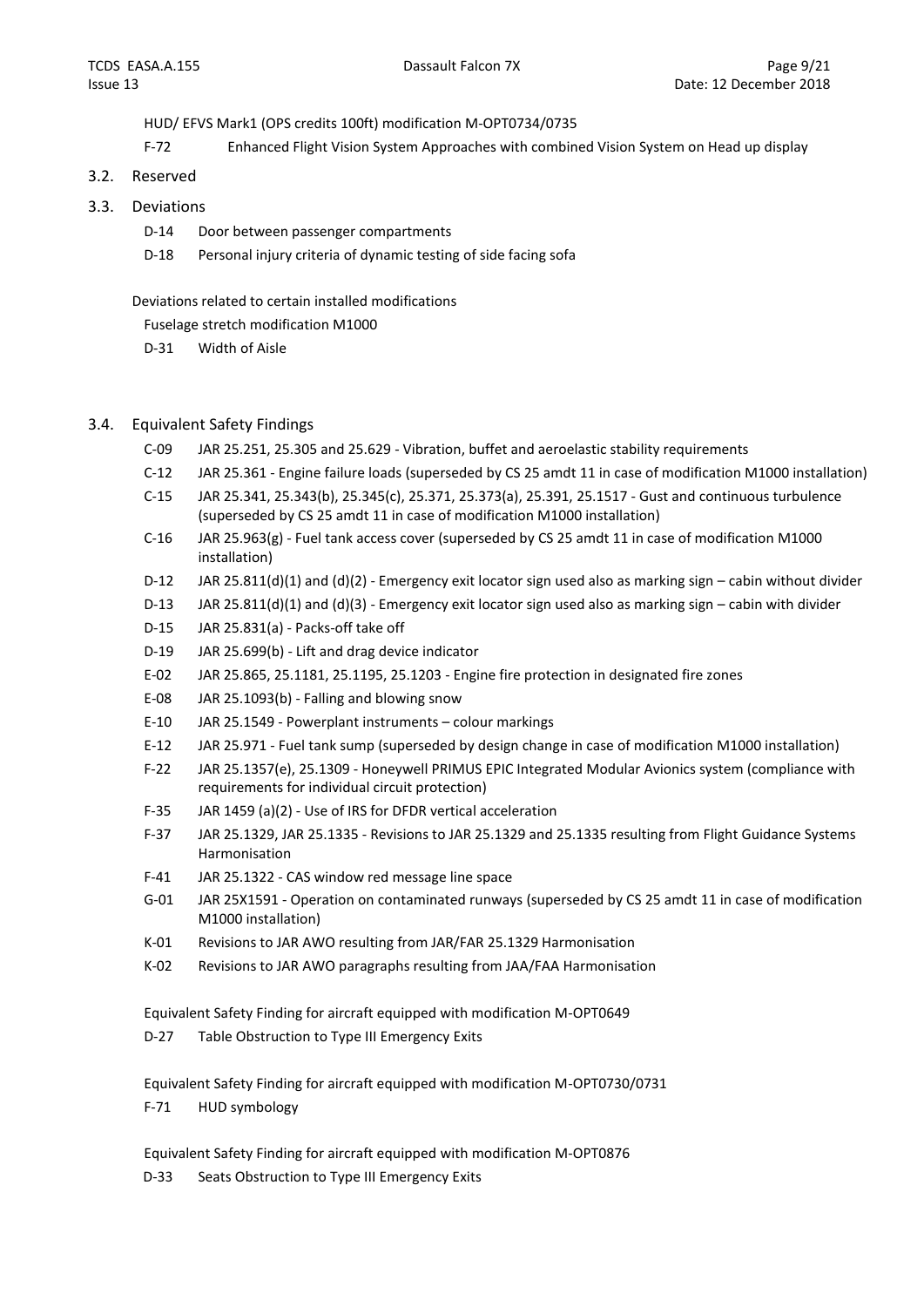- HUD/ EFVS Mark1 (OPS credits 100ft) modification M-OPT0734/0735
- F-72 Enhanced Flight Vision System Approaches with combined Vision System on Head up display
- <span id="page-8-0"></span>3.2. Reserved
- <span id="page-8-1"></span>3.3. Deviations
	- D-14 Door between passenger compartments
	- D-18 Personal injury criteria of dynamic testing of side facing sofa

Deviations related to certain installed modifications

Fuselage stretch modification M1000

D-31 Width of Aisle

#### <span id="page-8-2"></span>3.4. Equivalent Safety Findings

- C-09 JAR 25.251, 25.305 and 25.629 Vibration, buffet and aeroelastic stability requirements
- C-12 JAR 25.361 Engine failure loads (superseded by CS 25 amdt 11 in case of modification M1000 installation)
- C-15 JAR 25.341, 25.343(b), 25.345(c), 25.371, 25.373(a), 25.391, 25.1517 Gust and continuous turbulence (superseded by CS 25 amdt 11 in case of modification M1000 installation)
- C-16 JAR 25.963(g) Fuel tank access cover (superseded by CS 25 amdt 11 in case of modification M1000 installation)
- D-12 JAR 25.811(d)(1) and (d)(2) Emergency exit locator sign used also as marking sign cabin without divider
- D-13 JAR 25.811(d)(1) and (d)(3) Emergency exit locator sign used also as marking sign cabin with divider
- D-15 JAR 25.831(a) Packs-off take off
- D-19 JAR 25.699(b) Lift and drag device indicator
- E-02 JAR 25.865, 25.1181, 25.1195, 25.1203 Engine fire protection in designated fire zones
- E-08 JAR 25.1093(b) Falling and blowing snow
- E-10 JAR 25.1549 Powerplant instruments colour markings
- E-12 JAR 25.971 Fuel tank sump (superseded by design change in case of modification M1000 installation)
- F-22 JAR 25.1357(e), 25.1309 Honeywell PRIMUS EPIC Integrated Modular Avionics system (compliance with requirements for individual circuit protection)
- F-35 JAR 1459 (a)(2) Use of IRS for DFDR vertical acceleration
- F-37 JAR 25.1329, JAR 25.1335 Revisions to JAR 25.1329 and 25.1335 resulting from Flight Guidance Systems Harmonisation
- F-41 JAR 25.1322 CAS window red message line space
- G-01 JAR 25X1591 Operation on contaminated runways (superseded by CS 25 amdt 11 in case of modification M1000 installation)
- K-01 Revisions to JAR AWO resulting from JAR/FAR 25.1329 Harmonisation
- K-02 Revisions to JAR AWO paragraphs resulting from JAA/FAA Harmonisation

Equivalent Safety Finding for aircraft equipped with modification M-OPT0649

D-27 Table Obstruction to Type III Emergency Exits

Equivalent Safety Finding for aircraft equipped with modification M-OPT0730/0731

F-71 HUD symbology

Equivalent Safety Finding for aircraft equipped with modification M-OPT0876

D-33 Seats Obstruction to Type III Emergency Exits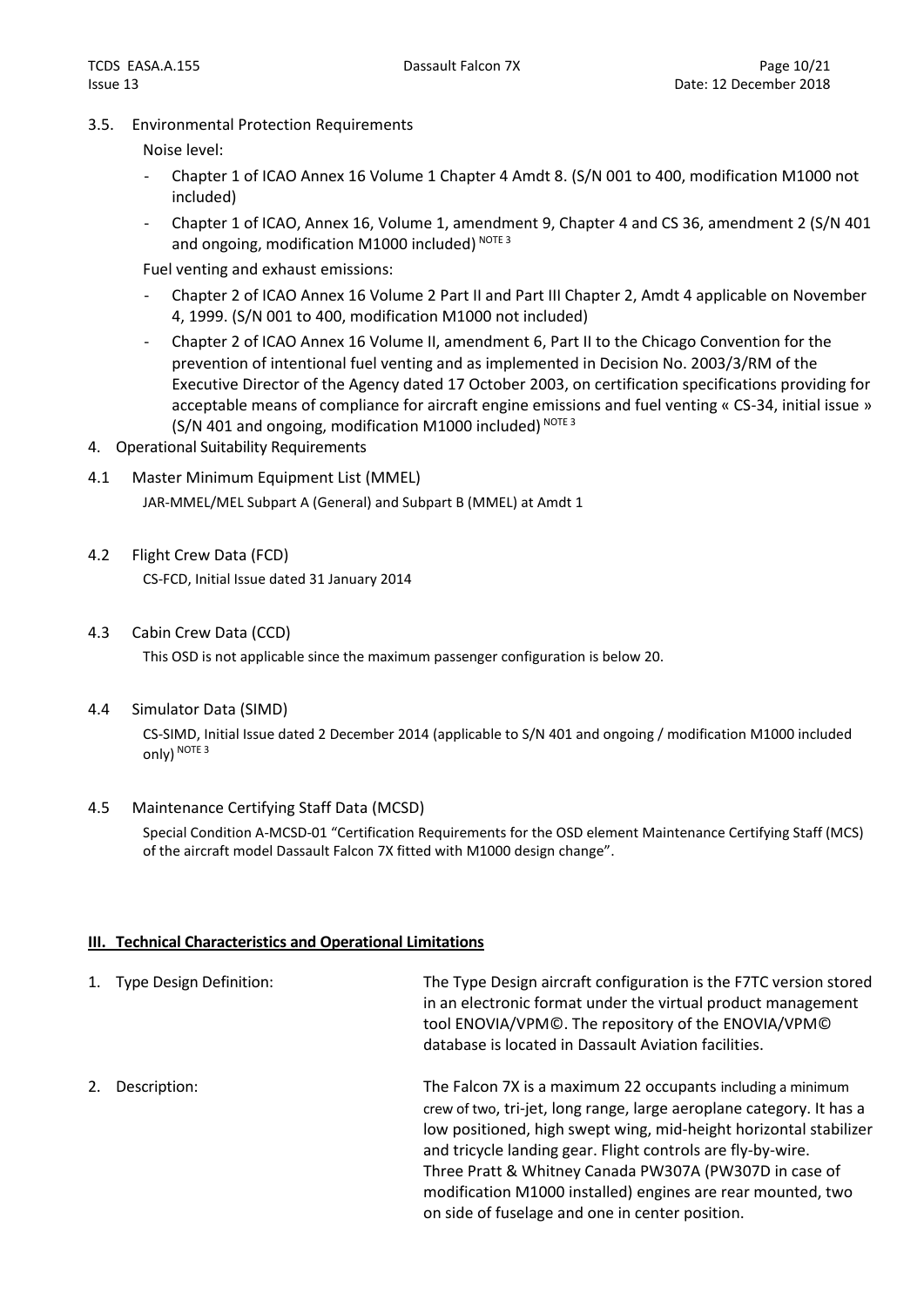#### <span id="page-9-0"></span>3.5. Environmental Protection Requirements

Noise level:

- Chapter 1 of ICAO Annex 16 Volume 1 Chapter 4 Amdt 8. (S/N 001 to 400, modification M1000 not included)
- Chapter 1 of ICAO, Annex 16, Volume 1, amendment 9, Chapter 4 and CS 36, amendment 2 (S/N 401 and ongoing, modification M1000 included) NOTE 3

Fuel venting and exhaust emissions:

- Chapter 2 of ICAO Annex 16 Volume 2 Part II and Part III Chapter 2, Amdt 4 applicable on November 4, 1999. (S/N 001 to 400, modification M1000 not included)
- Chapter 2 of ICAO Annex 16 Volume II, amendment 6, Part II to the Chicago Convention for the prevention of intentional fuel venting and as implemented in Decision No. 2003/3/RM of the Executive Director of the Agency dated 17 October 2003, on certification specifications providing for acceptable means of compliance for aircraft engine emissions and fuel venting « CS-34, initial issue » (S/N 401 and ongoing, modification M1000 included) NOTE 3
- <span id="page-9-1"></span>4. Operational Suitability Requirements
- <span id="page-9-2"></span>4.1 Master Minimum Equipment List (MMEL) JAR-MMEL/MEL Subpart A (General) and Subpart B (MMEL) at Amdt 1
- <span id="page-9-3"></span>4.2 Flight Crew Data (FCD) CS-FCD, Initial Issue dated 31 January 2014
- <span id="page-9-4"></span>4.3 Cabin Crew Data (CCD)

This OSD is not applicable since the maximum passenger configuration is below 20.

<span id="page-9-5"></span>4.4 Simulator Data (SIMD)

CS-SIMD, Initial Issue dated 2 December 2014 (applicable to S/N 401 and ongoing / modification M1000 included only) NOTE 3

<span id="page-9-6"></span>4.5 Maintenance Certifying Staff Data (MCSD)

Special Condition A-MCSD-01 "Certification Requirements for the OSD element Maintenance Certifying Staff (MCS) of the aircraft model Dassault Falcon 7X fitted with M1000 design change".

#### <span id="page-9-7"></span>**III. Technical Characteristics and Operational Limitations**

<span id="page-9-9"></span><span id="page-9-8"></span>

| 1. Type Design Definition: | The Type Design aircraft configuration is the F7TC version stored<br>in an electronic format under the virtual product management<br>tool ENOVIA/VPMC. The repository of the ENOVIA/VPMC<br>database is located in Dassault Aviation facilities.                                                                                                                                                                                                    |
|----------------------------|-----------------------------------------------------------------------------------------------------------------------------------------------------------------------------------------------------------------------------------------------------------------------------------------------------------------------------------------------------------------------------------------------------------------------------------------------------|
| 2.<br>Description:         | The Falcon 7X is a maximum 22 occupants including a minimum<br>crew of two, tri-jet, long range, large aeroplane category. It has a<br>low positioned, high swept wing, mid-height horizontal stabilizer<br>and tricycle landing gear. Flight controls are fly-by-wire.<br>Three Pratt & Whitney Canada PW307A (PW307D in case of<br>modification M1000 installed) engines are rear mounted, two<br>on side of fuselage and one in center position. |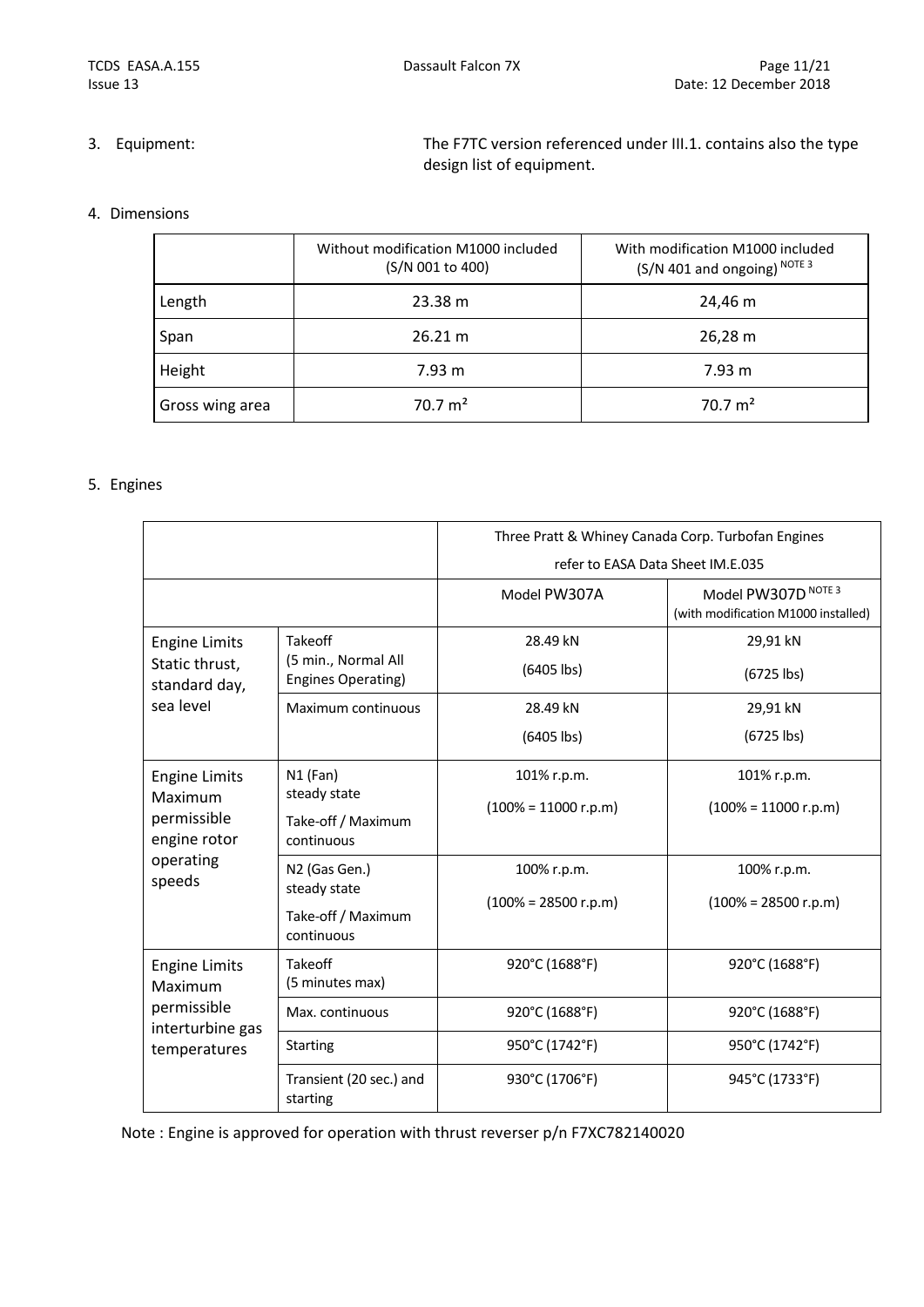<span id="page-10-0"></span>3. Equipment: The F7TC version referenced under III.1. contains also the type design list of equipment.

<span id="page-10-1"></span>4. Dimensions

|                 | Without modification M1000 included<br>(S/N 001 to 400) | With modification M1000 included<br>$(S/N 401$ and ongoing) NOTE 3 |
|-----------------|---------------------------------------------------------|--------------------------------------------------------------------|
| Length          | 23.38 m                                                 | 24,46 m                                                            |
| Span            | 26.21 m                                                 | $26,28 \text{ m}$                                                  |
| Height          | 7.93 m                                                  | 7.93 m                                                             |
| Gross wing area | 70.7 $m2$                                               | $70.7 \text{ m}^2$                                                 |

#### <span id="page-10-2"></span>5. Engines

|                                                                                       |                                                                                                                       | Three Pratt & Whiney Canada Corp. Turbofan Engines                               |                                                                                  |  |
|---------------------------------------------------------------------------------------|-----------------------------------------------------------------------------------------------------------------------|----------------------------------------------------------------------------------|----------------------------------------------------------------------------------|--|
|                                                                                       |                                                                                                                       | refer to EASA Data Sheet IM.E.035                                                |                                                                                  |  |
|                                                                                       |                                                                                                                       | Model PW307A                                                                     | Model PW307D NOTE 3<br>(with modification M1000 installed)                       |  |
| <b>Engine Limits</b><br>Static thrust,<br>standard day,                               | <b>Takeoff</b><br>(5 min., Normal All<br>Engines Operating)                                                           | 28.49 kN<br>(6405 lbs)                                                           | 29,91 kN<br>(6725 lbs)                                                           |  |
| sea level                                                                             | Maximum continuous                                                                                                    | 28.49 kN<br>(6405 lbs)                                                           | 29,91 kN<br>(6725 lbs)                                                           |  |
| <b>Engine Limits</b><br>Maximum<br>permissible<br>engine rotor<br>operating<br>speeds | $N1$ (Fan)<br>steady state<br>Take-off / Maximum<br>continuous<br>N2 (Gas Gen.)<br>steady state<br>Take-off / Maximum | 101% r.p.m.<br>$(100\% = 11000$ r.p.m)<br>100% r.p.m.<br>$(100\% = 28500$ r.p.m) | 101% r.p.m.<br>$(100\% = 11000$ r.p.m)<br>100% r.p.m.<br>$(100\% = 28500$ r.p.m) |  |
| <b>Engine Limits</b><br>Maximum                                                       | continuous<br>Takeoff<br>(5 minutes max)                                                                              | 920°C (1688°F)                                                                   | 920°C (1688°F)                                                                   |  |
| permissible<br>interturbine gas                                                       | Max. continuous                                                                                                       | 920°C (1688°F)                                                                   | 920°C (1688°F)                                                                   |  |
| temperatures                                                                          | <b>Starting</b>                                                                                                       | 950°C (1742°F)                                                                   | 950°C (1742°F)                                                                   |  |
|                                                                                       | Transient (20 sec.) and<br>starting                                                                                   | 930°C (1706°F)                                                                   | 945°C (1733°F)                                                                   |  |

Note : Engine is approved for operation with thrust reverser p/n F7XC782140020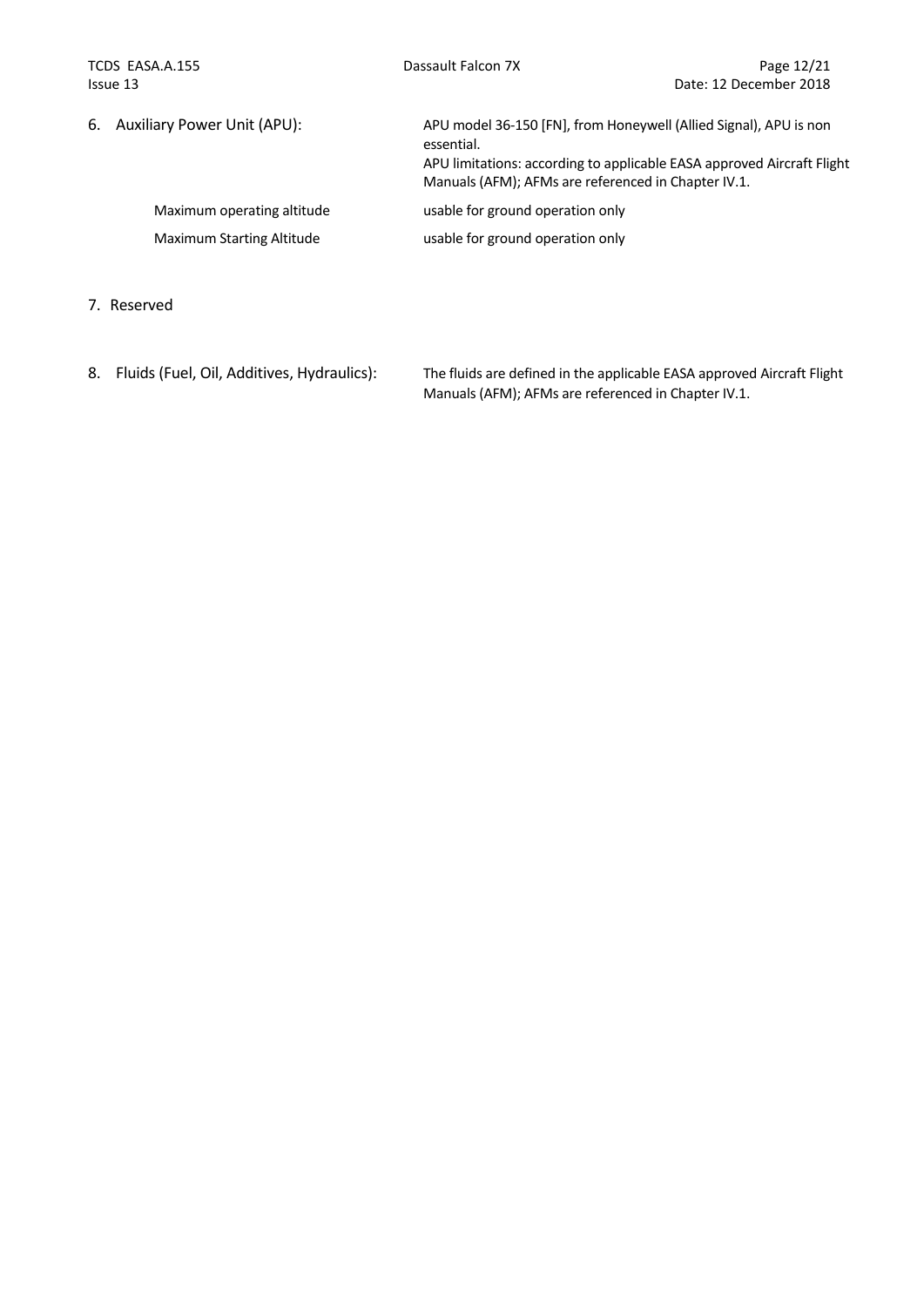<span id="page-11-0"></span>

| TCDS EASA.A.155<br>Issue 13       |                                                                | Dassault Falcon 7X<br>Page 12/21<br>Date: 12 December 2018                                                                                                                                                       |  |
|-----------------------------------|----------------------------------------------------------------|------------------------------------------------------------------------------------------------------------------------------------------------------------------------------------------------------------------|--|
| Auxiliary Power Unit (APU):<br>6. |                                                                | APU model 36-150 [FN], from Honeywell (Allied Signal), APU is non<br>essential.<br>APU limitations: according to applicable EASA approved Aircraft Flight<br>Manuals (AFM); AFMs are referenced in Chapter IV.1. |  |
|                                   | Maximum operating altitude<br><b>Maximum Starting Altitude</b> | usable for ground operation only<br>usable for ground operation only                                                                                                                                             |  |
|                                   |                                                                |                                                                                                                                                                                                                  |  |

<span id="page-11-1"></span>7. Reserved

<span id="page-11-2"></span>

| 8. Fluids (Fuel, Oil, Additives, Hydraulics): | The fluids are defined in the applicable EASA approved Aircraft Flight |
|-----------------------------------------------|------------------------------------------------------------------------|
|                                               | Manuals (AFM); AFMs are referenced in Chapter IV.1.                    |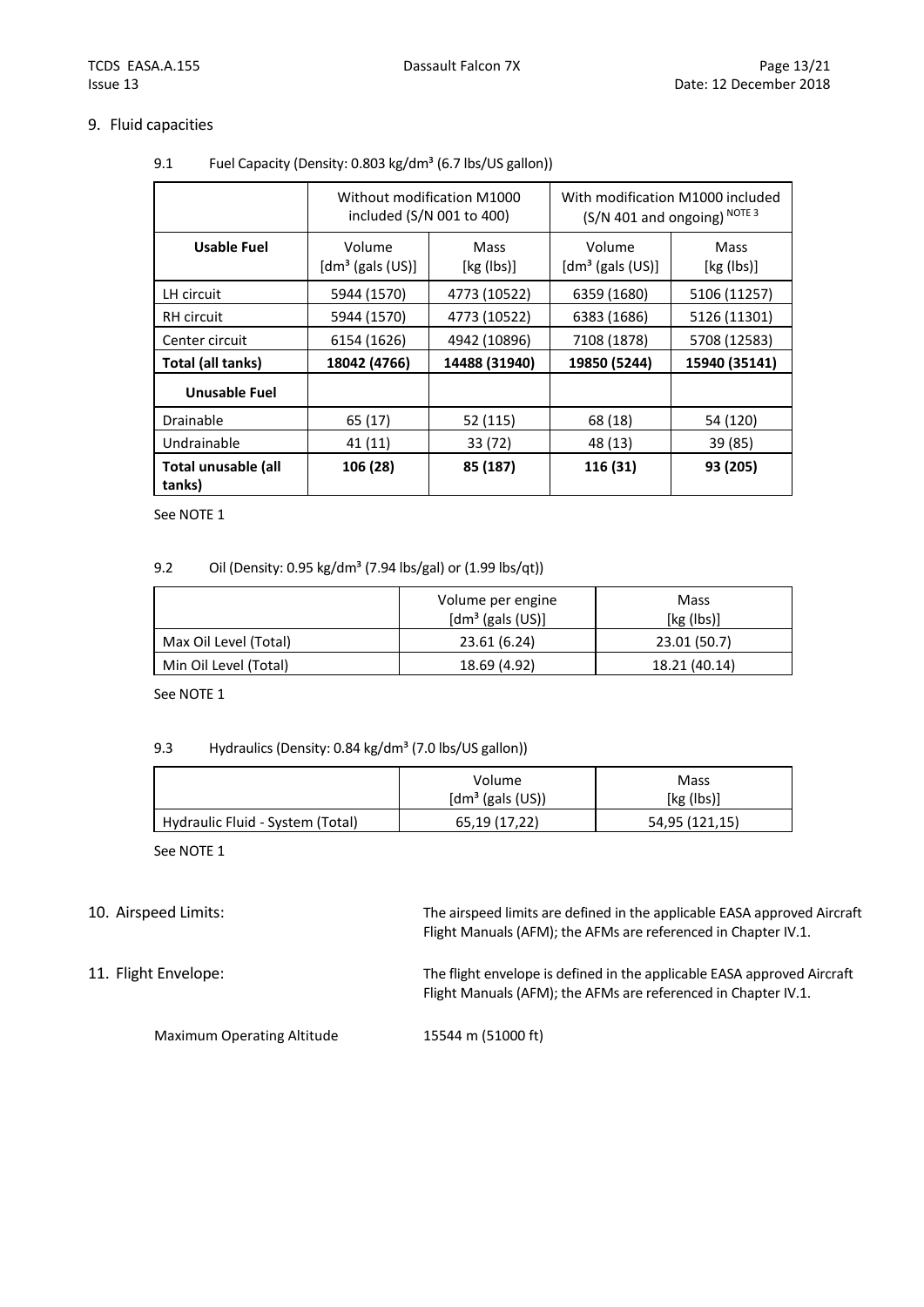#### <span id="page-12-0"></span>9. Fluid capacities

#### 9.1 Fuel Capacity (Density: 0.803 kg/dm<sup>3</sup> (6.7 lbs/US gallon))

|                               | Without modification M1000<br>included (S/N 001 to 400) |                    | With modification M1000 included<br>(S/N 401 and ongoing) NOTE 3 |                    |
|-------------------------------|---------------------------------------------------------|--------------------|------------------------------------------------------------------|--------------------|
| Usable Fuel                   | Volume<br>$[dm3$ (gals (US)]                            | Mass<br>[kg (lbs)] | Volume<br>[dm <sup>3</sup> (gals (US))]                          | Mass<br>[kg (lbs)] |
| LH circuit                    | 5944 (1570)                                             | 4773 (10522)       | 6359 (1680)                                                      | 5106 (11257)       |
| <b>RH</b> circuit             | 5944 (1570)                                             | 4773 (10522)       | 6383 (1686)                                                      | 5126 (11301)       |
| Center circuit                | 6154 (1626)                                             | 4942 (10896)       | 7108 (1878)                                                      | 5708 (12583)       |
| Total (all tanks)             | 18042 (4766)                                            | 14488 (31940)      | 19850 (5244)                                                     | 15940 (35141)      |
| <b>Unusable Fuel</b>          |                                                         |                    |                                                                  |                    |
| Drainable                     | 65 (17)                                                 | 52 (115)           | 68 (18)                                                          | 54 (120)           |
| Undrainable                   | 41 (11)                                                 | 33 (72)            | 48 (13)                                                          | 39 (85)            |
| Total unusable (all<br>tanks) | 106 (28)                                                | 85 (187)           | 116 (31)                                                         | 93 (205)           |

See NOTE 1

#### 9.2 Oil (Density: 0.95 kg/dm<sup>3</sup> (7.94 lbs/gal) or (1.99 lbs/qt))

|                       | Volume per engine<br>[dm <sup>3</sup> (gals $(US)$ ] | Mass<br>[kg (lbs)] |
|-----------------------|------------------------------------------------------|--------------------|
| Max Oil Level (Total) | 23.61 (6.24)                                         | 23.01 (50.7)       |
| Min Oil Level (Total) | 18.69 (4.92)                                         | 18.21 (40.14)      |

See NOTE 1

#### 9.3 Hydraulics (Density: 0.84 kg/dm<sup>3</sup> (7.0 lbs/US gallon))

|                                  | Volume<br>$\left[dm^3$ (gals (US)) | Mass<br>[kg (lbs)] |
|----------------------------------|------------------------------------|--------------------|
| Hydraulic Fluid - System (Total) | 65,19 (17,22)                      | 54,95 (121,15)     |

See NOTE 1

<span id="page-12-1"></span>10. Airspeed Limits: The airspeed limits are defined in the applicable EASA approved Aircraft Flight Manuals (AFM); the AFMs are referenced in Chapter IV.1.

<span id="page-12-2"></span>11. Flight Envelope: The flight envelope is defined in the applicable EASA approved Aircraft Flight Manuals (AFM); the AFMs are referenced in Chapter IV.1.

Maximum Operating Altitude 15544 m (51000 ft)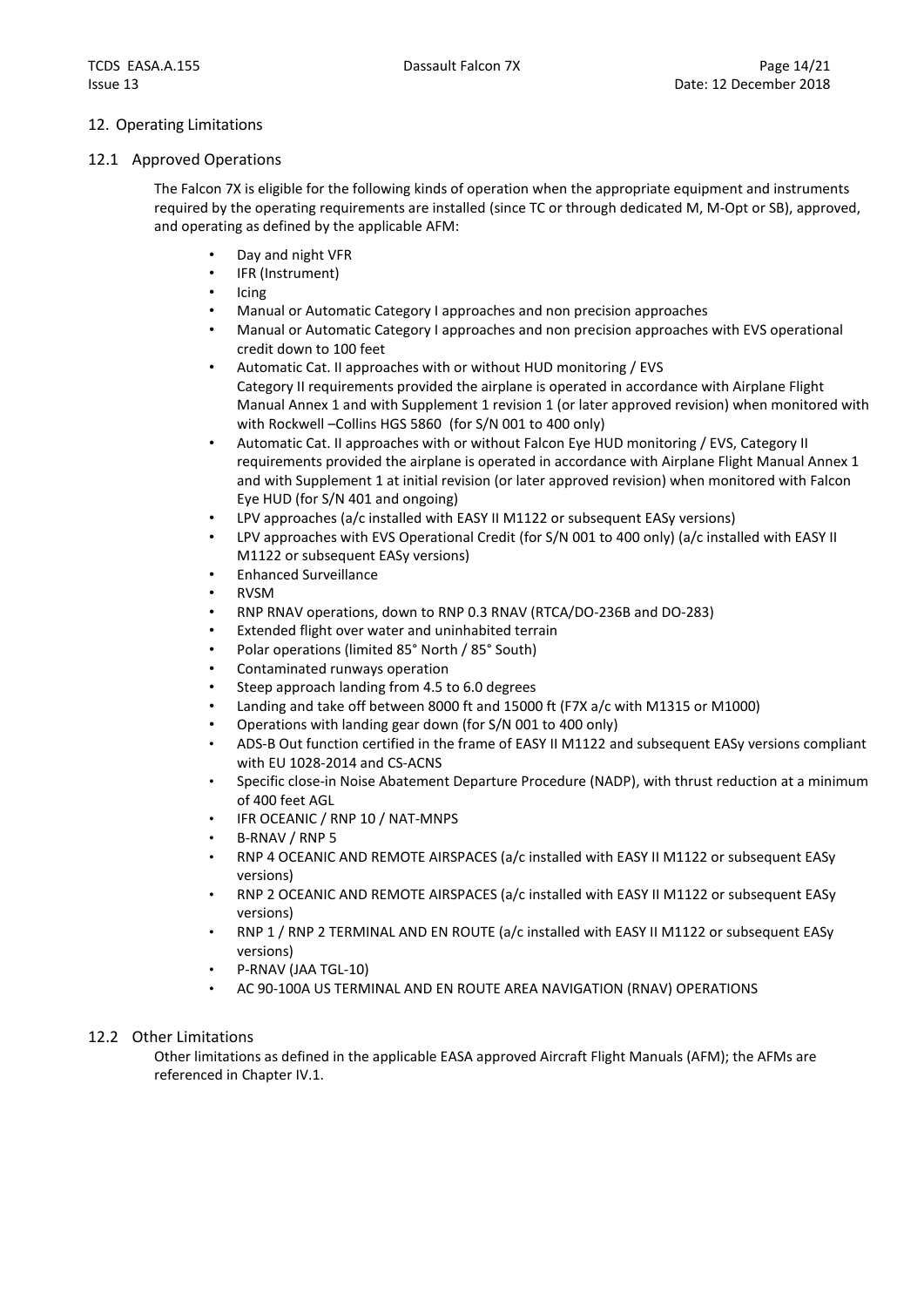#### <span id="page-13-0"></span>12. Operating Limitations

#### <span id="page-13-1"></span>12.1 Approved Operations

The Falcon 7X is eligible for the following kinds of operation when the appropriate equipment and instruments required by the operating requirements are installed (since TC or through dedicated M, M-Opt or SB), approved, and operating as defined by the applicable AFM:

- Day and night VFR
- IFR (Instrument)
- Icing
- Manual or Automatic Category I approaches and non precision approaches
- Manual or Automatic Category I approaches and non precision approaches with EVS operational credit down to 100 feet
- Automatic Cat. II approaches with or without HUD monitoring / EVS Category II requirements provided the airplane is operated in accordance with Airplane Flight Manual Annex 1 and with Supplement 1 revision 1 (or later approved revision) when monitored with with Rockwell –Collins HGS 5860 (for S/N 001 to 400 only)
- Automatic Cat. II approaches with or without Falcon Eye HUD monitoring / EVS, Category II requirements provided the airplane is operated in accordance with Airplane Flight Manual Annex 1 and with Supplement 1 at initial revision (or later approved revision) when monitored with Falcon Eye HUD (for S/N 401 and ongoing)
- LPV approaches (a/c installed with EASY II M1122 or subsequent EASy versions)
- LPV approaches with EVS Operational Credit (for S/N 001 to 400 only) (a/c installed with EASY II M1122 or subsequent EASy versions)
- Enhanced Surveillance
- RVSM
- RNP RNAV operations, down to RNP 0.3 RNAV (RTCA/DO-236B and DO-283)
- Extended flight over water and uninhabited terrain
- Polar operations (limited 85° North / 85° South)
- Contaminated runways operation
- Steep approach landing from 4.5 to 6.0 degrees
- Landing and take off between 8000 ft and 15000 ft (F7X a/c with M1315 or M1000)
- Operations with landing gear down (for S/N 001 to 400 only)
- ADS-B Out function certified in the frame of EASY II M1122 and subsequent EASy versions compliant with EU 1028-2014 and CS-ACNS
- Specific close-in Noise Abatement Departure Procedure (NADP), with thrust reduction at a minimum of 400 feet AGL
- IFR OCEANIC / RNP 10 / NAT-MNPS
- B-RNAV / RNP 5
- RNP 4 OCEANIC AND REMOTE AIRSPACES (a/c installed with EASY II M1122 or subsequent EASy versions)
- RNP 2 OCEANIC AND REMOTE AIRSPACES (a/c installed with EASY II M1122 or subsequent EASy versions)
- RNP 1 / RNP 2 TERMINAL AND EN ROUTE (a/c installed with EASY II M1122 or subsequent EASy versions)
- P-RNAV (JAA TGL-10)
- AC 90-100A US TERMINAL AND EN ROUTE AREA NAVIGATION (RNAV) OPERATIONS

#### <span id="page-13-2"></span>12.2 Other Limitations

Other limitations as defined in the applicable EASA approved Aircraft Flight Manuals (AFM); the AFMs are referenced in Chapter IV.1.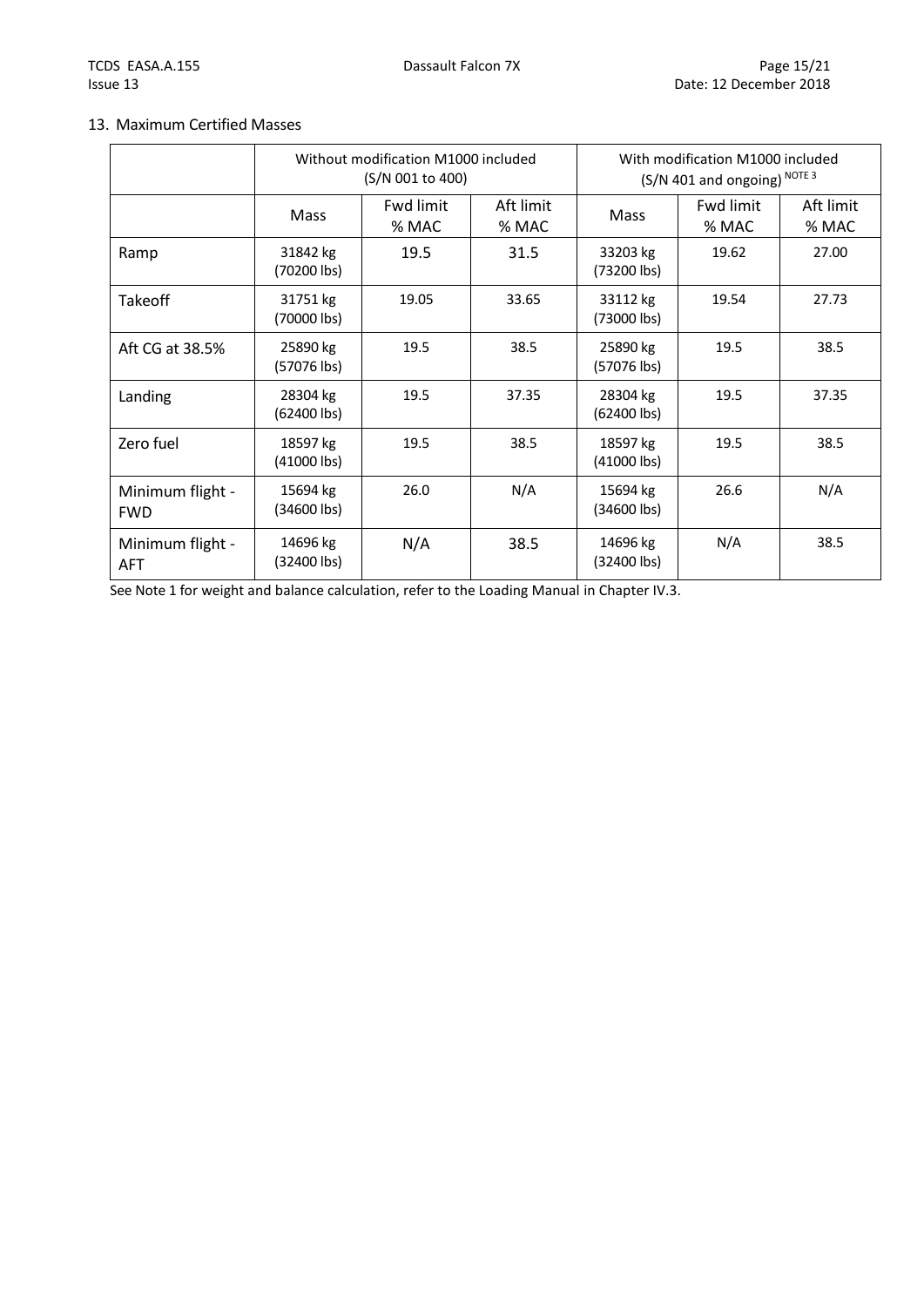#### <span id="page-14-0"></span>13. Maximum Certified Masses

|                                | Without modification M1000 included<br>(S/N 001 to 400) |                    |                    | With modification M1000 included<br>(S/N 401 and ongoing) NOTE 3 |                           |                    |
|--------------------------------|---------------------------------------------------------|--------------------|--------------------|------------------------------------------------------------------|---------------------------|--------------------|
|                                | Mass                                                    | Fwd limit<br>% MAC | Aft limit<br>% MAC | Mass                                                             | <b>Fwd limit</b><br>% MAC | Aft limit<br>% MAC |
| Ramp                           | 31842 kg<br>(70200 lbs)                                 | 19.5               | 31.5               | 33203 kg<br>(73200 lbs)                                          | 19.62                     | 27.00              |
| <b>Takeoff</b>                 | 31751 kg<br>(70000 lbs)                                 | 19.05              | 33.65              | 33112 kg<br>(73000 lbs)                                          | 19.54                     | 27.73              |
| Aft CG at 38.5%                | 25890 kg<br>(57076 lbs)                                 | 19.5               | 38.5               | 25890 kg<br>(57076 lbs)                                          | 19.5                      | 38.5               |
| Landing                        | 28304 kg<br>(62400 lbs)                                 | 19.5               | 37.35              | 28304 kg<br>(62400 lbs)                                          | 19.5                      | 37.35              |
| Zero fuel                      | 18597 kg<br>(41000 lbs)                                 | 19.5               | 38.5               | 18597 kg<br>$(41000$ lbs)                                        | 19.5                      | 38.5               |
| Minimum flight -<br><b>FWD</b> | 15694 kg<br>(34600 lbs)                                 | 26.0               | N/A                | 15694 kg<br>$(34600$ lbs)                                        | 26.6                      | N/A                |
| Minimum flight -<br><b>AFT</b> | 14696 kg<br>(32400 lbs)                                 | N/A                | 38.5               | 14696 kg<br>(32400 lbs)                                          | N/A                       | 38.5               |

See Note 1 for weight and balance calculation, refer to the Loading Manual in Chapter IV.3.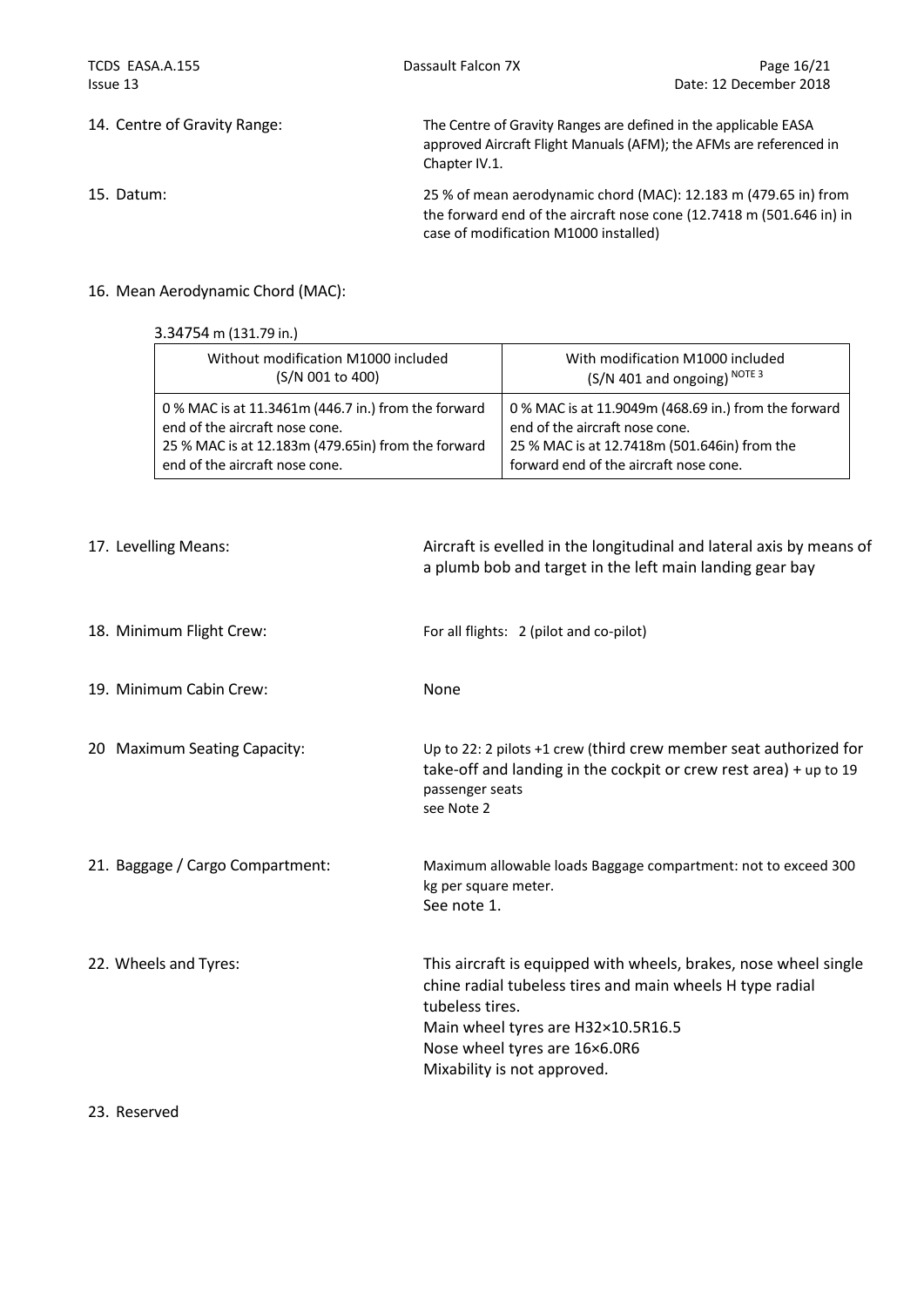<span id="page-15-0"></span>

| TCDS EASA.A.155                                     | Dassault Falcon 7X | Page 16/21                                                                                                                              |
|-----------------------------------------------------|--------------------|-----------------------------------------------------------------------------------------------------------------------------------------|
| Issue 13                                            |                    | Date: 12 December 2018                                                                                                                  |
| 14. Centre of Gravity Range:                        | Chapter IV.1.      | The Centre of Gravity Ranges are defined in the applicable EASA<br>approved Aircraft Flight Manuals (AFM); the AFMs are referenced in   |
| 15. Datum:<br>case of modification M1000 installed) |                    | 25 % of mean aerodynamic chord (MAC): 12.183 m (479.65 in) from<br>the forward end of the aircraft nose cone (12.7418 m (501.646 in) in |

## <span id="page-15-2"></span><span id="page-15-1"></span>16. Mean Aerodynamic Chord (MAC):

#### 3.34754 m (131.79 in.)

| Without modification M1000 included                 | With modification M1000 included                     |
|-----------------------------------------------------|------------------------------------------------------|
| (S/N 001 to 400)                                    | (S/N 401 and ongoing) $NOTE$ 3                       |
| 0 % MAC is at 11.3461m (446.7 in.) from the forward | 0 % MAC is at 11.9049m (468.69 in.) from the forward |
| end of the aircraft nose cone.                      | end of the aircraft nose cone.                       |
| 25 % MAC is at 12.183m (479.65in) from the forward  | 25 % MAC is at 12.7418m (501.646in) from the         |
| end of the aircraft nose cone.                      | forward end of the aircraft nose cone.               |

<span id="page-15-6"></span><span id="page-15-5"></span><span id="page-15-4"></span><span id="page-15-3"></span>

| 17. Levelling Means:             | Aircraft is evelled in the longitudinal and lateral axis by means of<br>a plumb bob and target in the left main landing gear bay                                                                                                                       |
|----------------------------------|--------------------------------------------------------------------------------------------------------------------------------------------------------------------------------------------------------------------------------------------------------|
| 18. Minimum Flight Crew:         | For all flights: 2 (pilot and co-pilot)                                                                                                                                                                                                                |
| 19. Minimum Cabin Crew:          | None                                                                                                                                                                                                                                                   |
| 20 Maximum Seating Capacity:     | Up to 22: 2 pilots +1 crew (third crew member seat authorized for<br>take-off and landing in the cockpit or crew rest area) + up to 19<br>passenger seats<br>see Note 2                                                                                |
| 21. Baggage / Cargo Compartment: | Maximum allowable loads Baggage compartment: not to exceed 300<br>kg per square meter.<br>See note 1.                                                                                                                                                  |
| 22. Wheels and Tyres:            | This aircraft is equipped with wheels, brakes, nose wheel single<br>chine radial tubeless tires and main wheels H type radial<br>tubeless tires.<br>Main wheel tyres are H32×10.5R16.5<br>Nose wheel tyres are 16×6.0R6<br>Mixability is not approved. |

<span id="page-15-9"></span><span id="page-15-8"></span><span id="page-15-7"></span>23. Reserved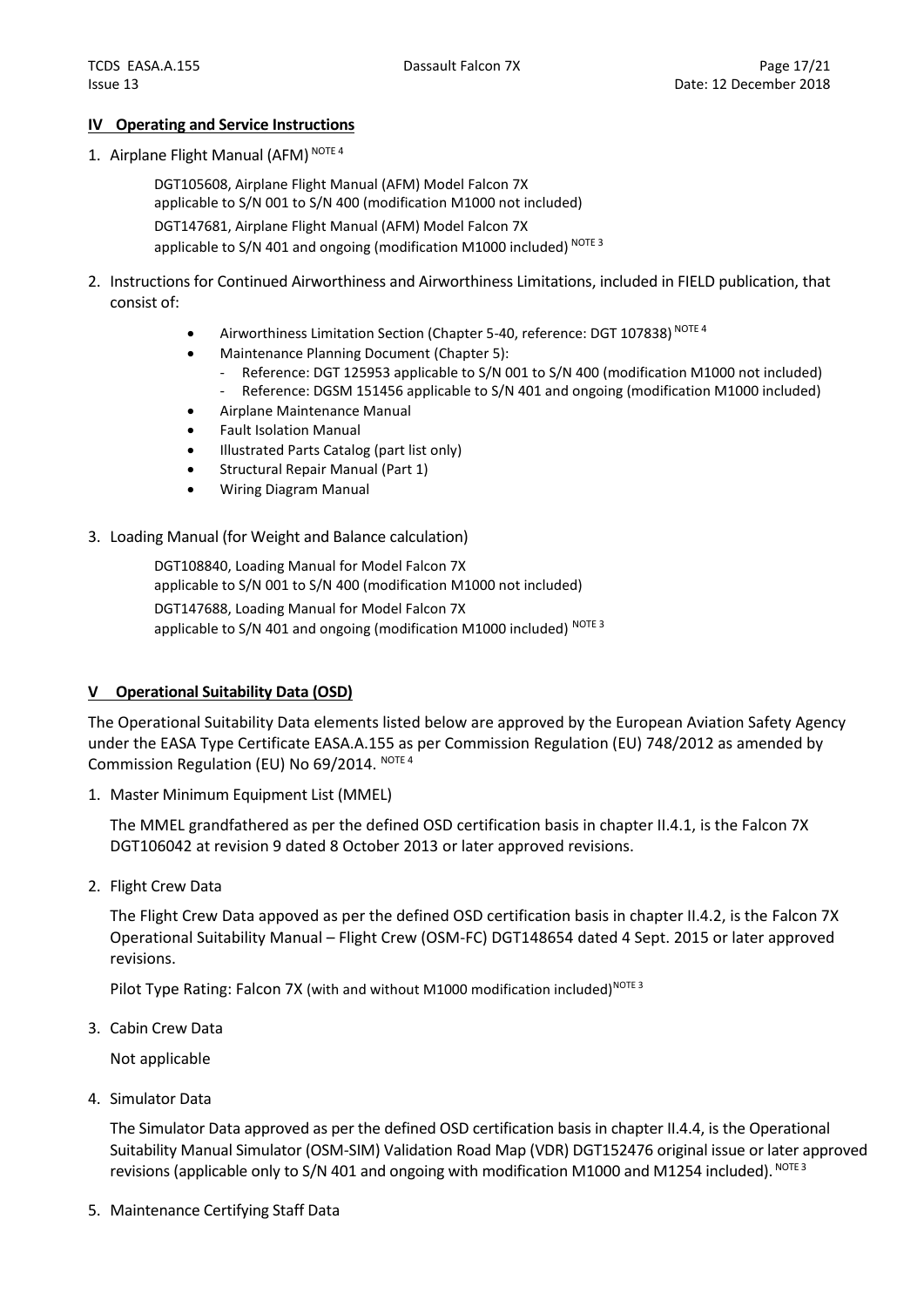#### <span id="page-16-0"></span>**IV Operating and Service Instructions**

<span id="page-16-1"></span>1. Airplane Flight Manual (AFM) NOTE 4

DGT105608, Airplane Flight Manual (AFM) Model Falcon 7X applicable to S/N 001 to S/N 400 (modification M1000 not included) DGT147681, Airplane Flight Manual (AFM) Model Falcon 7X applicable to S/N 401 and ongoing (modification M1000 included)  $^{NOTE~3}$ 

- <span id="page-16-2"></span>2. Instructions for Continued Airworthiness and Airworthiness Limitations, included in FIELD publication, that consist of:
	- Airworthiness Limitation Section (Chapter 5-40, reference: DGT 107838) NOTE 4
	- Maintenance Planning Document (Chapter 5):
		- Reference: DGT 125953 applicable to S/N 001 to S/N 400 (modification M1000 not included)
		- Reference: DGSM 151456 applicable to S/N 401 and ongoing (modification M1000 included)
	- Airplane Maintenance Manual
	- Fault Isolation Manual
	- Illustrated Parts Catalog (part list only)
	- Structural Repair Manual (Part 1)
	- Wiring Diagram Manual
- <span id="page-16-3"></span>3. Loading Manual (for Weight and Balance calculation)

DGT108840, Loading Manual for Model Falcon 7X applicable to S/N 001 to S/N 400 (modification M1000 not included) DGT147688, Loading Manual for Model Falcon 7X applicable to S/N 401 and ongoing (modification M1000 included) NOTE 3

#### <span id="page-16-4"></span>**V Operational Suitability Data (OSD)**

The Operational Suitability Data elements listed below are approved by the European Aviation Safety Agency under the EASA Type Certificate EASA.A.155 as per Commission Regulation (EU) 748/2012 as amended by Commission Regulation (EU) No 69/2014. NOTE 4

<span id="page-16-5"></span>1. Master Minimum Equipment List (MMEL)

The MMEL grandfathered as per the defined OSD certification basis in chapter II.4.1, is the Falcon 7X DGT106042 at revision 9 dated 8 October 2013 or later approved revisions.

<span id="page-16-6"></span>2. Flight Crew Data

The Flight Crew Data appoved as per the defined OSD certification basis in chapter II.4.2, is the Falcon 7X Operational Suitability Manual – Flight Crew (OSM-FC) DGT148654 dated 4 Sept. 2015 or later approved revisions.

Pilot Type Rating: Falcon 7X (with and without M1000 modification included)<sup>NOTE 3</sup>

<span id="page-16-7"></span>3. Cabin Crew Data

Not applicable

<span id="page-16-8"></span>4. Simulator Data

The Simulator Data approved as per the defined OSD certification basis in chapter II.4.4, is the Operational Suitability Manual Simulator (OSM-SIM) Validation Road Map (VDR) DGT152476 original issue or later approved revisions (applicable only to S/N 401 and ongoing with modification M1000 and M1254 included). NOTE 3

<span id="page-16-9"></span>5. Maintenance Certifying Staff Data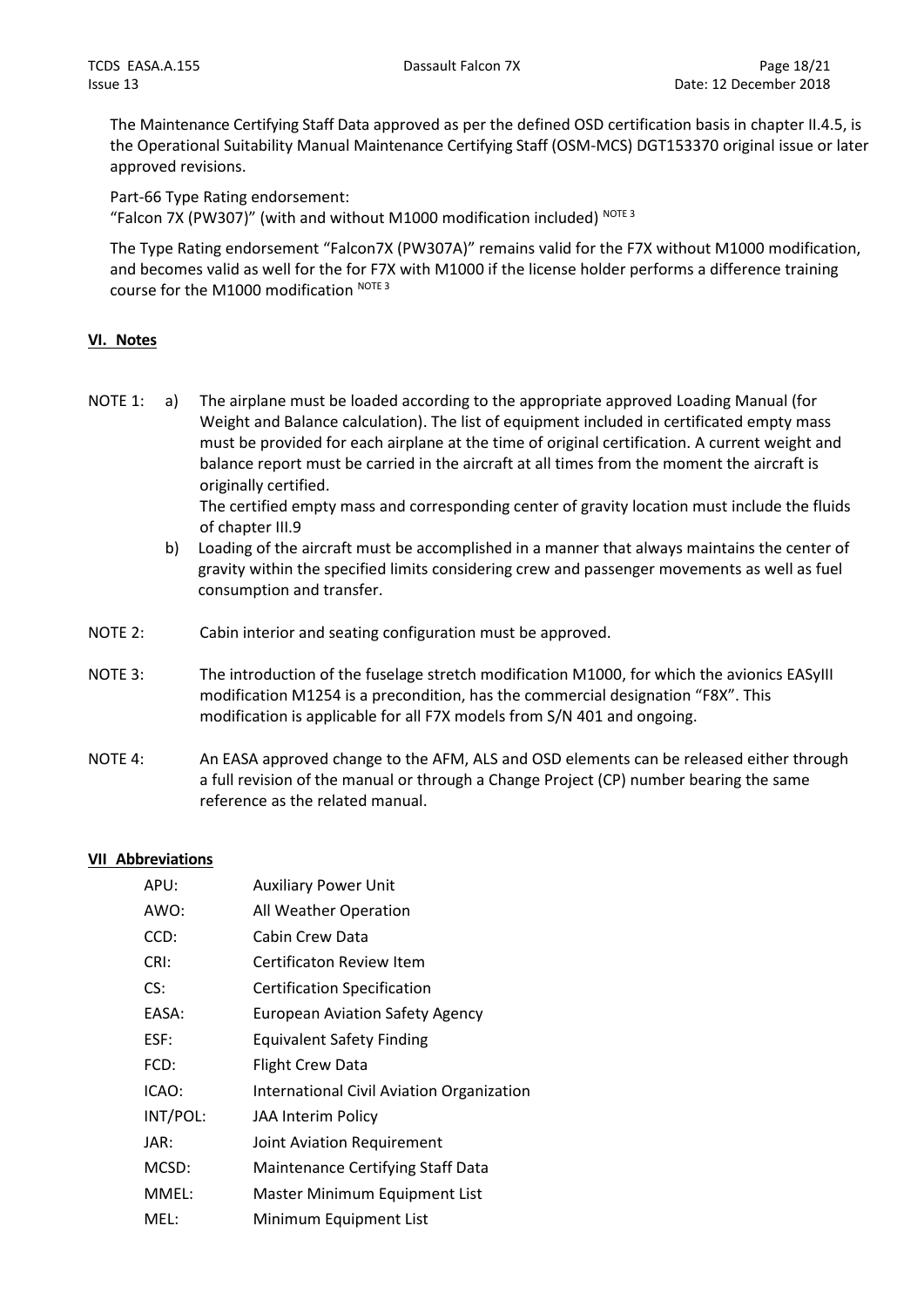The Maintenance Certifying Staff Data approved as per the defined OSD certification basis in chapter II.4.5, is the Operational Suitability Manual Maintenance Certifying Staff (OSM-MCS) DGT153370 original issue or later approved revisions.

Part-66 Type Rating endorsement: "Falcon 7X (PW307)" (with and without M1000 modification included)  $^{NOTE 3}$ 

The Type Rating endorsement "Falcon7X (PW307A)" remains valid for the F7X without M1000 modification, and becomes valid as well for the for F7X with M1000 if the license holder performs a difference training course for the M1000 modification NOTE 3

#### <span id="page-17-0"></span>**VI. Notes**

NOTE 1: a) The airplane must be loaded according to the appropriate approved Loading Manual (for Weight and Balance calculation). The list of equipment included in certificated empty mass must be provided for each airplane at the time of original certification. A current weight and balance report must be carried in the aircraft at all times from the moment the aircraft is originally certified.

The certified empty mass and corresponding center of gravity location must include the fluids of chapter III.9

- b) Loading of the aircraft must be accomplished in a manner that always maintains the center of gravity within the specified limits considering crew and passenger movements as well as fuel consumption and transfer.
- NOTE 2: Cabin interior and seating configuration must be approved.
- NOTE 3: The introduction of the fuselage stretch modification M1000, for which the avionics EASyIII modification M1254 is a precondition, has the commercial designation "F8X". This modification is applicable for all F7X models from S/N 401 and ongoing.
- NOTE 4: An EASA approved change to the AFM, ALS and OSD elements can be released either through a full revision of the manual or through a Change Project (CP) number bearing the same reference as the related manual.

#### <span id="page-17-1"></span>**VII Abbreviations**

| APU:     | <b>Auxiliary Power Unit</b>                      |
|----------|--------------------------------------------------|
| AWO:     | All Weather Operation                            |
| CCD:     | Cabin Crew Data                                  |
| CRI:     | Certificaton Review Item                         |
| CS:      | <b>Certification Specification</b>               |
| EASA:    | European Aviation Safety Agency                  |
| ESF:     | <b>Equivalent Safety Finding</b>                 |
| FCD:     | <b>Flight Crew Data</b>                          |
| ICAO:    | <b>International Civil Aviation Organization</b> |
| INT/POL: | JAA Interim Policy                               |
| JAR:     | Joint Aviation Requirement                       |
| MCSD:    | Maintenance Certifying Staff Data                |
| MMEL:    | Master Minimum Equipment List                    |
| MEL:     | Minimum Equipment List                           |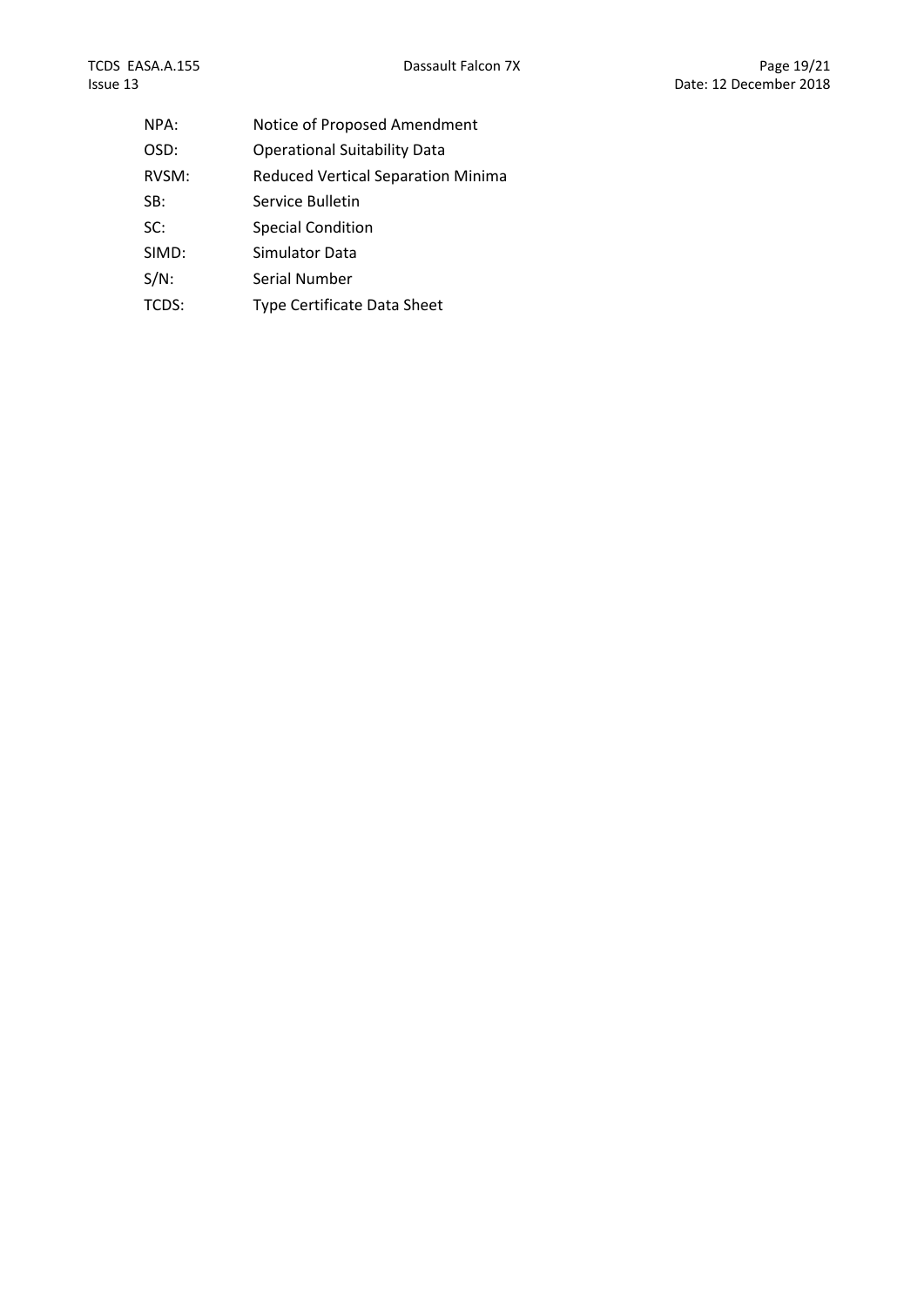| <b>Reduced Vertical Separation Minima</b> |
|-------------------------------------------|
|                                           |
|                                           |
|                                           |
|                                           |
|                                           |
|                                           |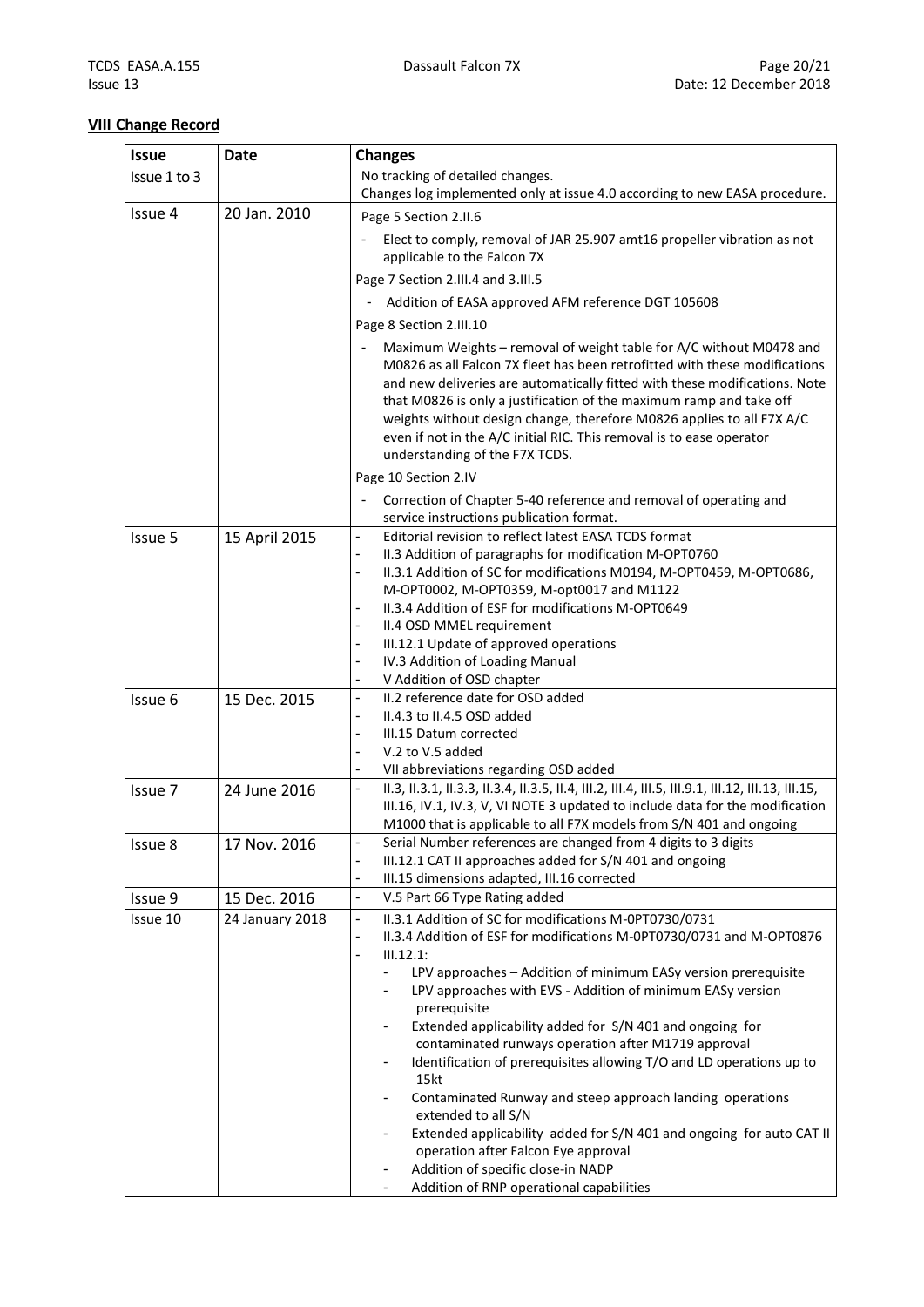### <span id="page-19-0"></span>**VIII Change Record**

| <b>Issue</b> | <b>Date</b>     | <b>Changes</b>                                                                                                                                                                                                                                                                                                                                                                                                                                                                                                                                                                                                                                                                                                                                                                                                                                                                                                                         |  |  |
|--------------|-----------------|----------------------------------------------------------------------------------------------------------------------------------------------------------------------------------------------------------------------------------------------------------------------------------------------------------------------------------------------------------------------------------------------------------------------------------------------------------------------------------------------------------------------------------------------------------------------------------------------------------------------------------------------------------------------------------------------------------------------------------------------------------------------------------------------------------------------------------------------------------------------------------------------------------------------------------------|--|--|
| Issue 1 to 3 |                 | No tracking of detailed changes.                                                                                                                                                                                                                                                                                                                                                                                                                                                                                                                                                                                                                                                                                                                                                                                                                                                                                                       |  |  |
|              |                 | Changes log implemented only at issue 4.0 according to new EASA procedure.                                                                                                                                                                                                                                                                                                                                                                                                                                                                                                                                                                                                                                                                                                                                                                                                                                                             |  |  |
| Issue 4      | 20 Jan. 2010    | Page 5 Section 2.II.6                                                                                                                                                                                                                                                                                                                                                                                                                                                                                                                                                                                                                                                                                                                                                                                                                                                                                                                  |  |  |
|              |                 | Elect to comply, removal of JAR 25.907 amt16 propeller vibration as not<br>applicable to the Falcon 7X                                                                                                                                                                                                                                                                                                                                                                                                                                                                                                                                                                                                                                                                                                                                                                                                                                 |  |  |
|              |                 | Page 7 Section 2.III.4 and 3.III.5                                                                                                                                                                                                                                                                                                                                                                                                                                                                                                                                                                                                                                                                                                                                                                                                                                                                                                     |  |  |
|              |                 | Addition of EASA approved AFM reference DGT 105608                                                                                                                                                                                                                                                                                                                                                                                                                                                                                                                                                                                                                                                                                                                                                                                                                                                                                     |  |  |
|              |                 | Page 8 Section 2.III.10                                                                                                                                                                                                                                                                                                                                                                                                                                                                                                                                                                                                                                                                                                                                                                                                                                                                                                                |  |  |
|              |                 | Maximum Weights - removal of weight table for A/C without M0478 and<br>M0826 as all Falcon 7X fleet has been retrofitted with these modifications<br>and new deliveries are automatically fitted with these modifications. Note<br>that M0826 is only a justification of the maximum ramp and take off<br>weights without design change, therefore M0826 applies to all F7X A/C<br>even if not in the A/C initial RIC. This removal is to ease operator<br>understanding of the F7X TCDS.                                                                                                                                                                                                                                                                                                                                                                                                                                              |  |  |
|              |                 | Page 10 Section 2.IV                                                                                                                                                                                                                                                                                                                                                                                                                                                                                                                                                                                                                                                                                                                                                                                                                                                                                                                   |  |  |
|              |                 | Correction of Chapter 5-40 reference and removal of operating and<br>service instructions publication format.                                                                                                                                                                                                                                                                                                                                                                                                                                                                                                                                                                                                                                                                                                                                                                                                                          |  |  |
| Issue 5      | 15 April 2015   | Editorial revision to reflect latest EASA TCDS format<br>$\blacksquare$<br>II.3 Addition of paragraphs for modification M-OPT0760<br>$\frac{1}{2}$<br>II.3.1 Addition of SC for modifications M0194, M-OPT0459, M-OPT0686,<br>$\qquad \qquad \blacksquare$<br>M-OPT0002, M-OPT0359, M-opt0017 and M1122<br>II.3.4 Addition of ESF for modifications M-OPT0649<br>II.4 OSD MMEL requirement<br>III.12.1 Update of approved operations<br>IV.3 Addition of Loading Manual<br>V Addition of OSD chapter                                                                                                                                                                                                                                                                                                                                                                                                                                   |  |  |
| Issue 6      | 15 Dec. 2015    | II.2 reference date for OSD added<br>$\qquad \qquad \blacksquare$                                                                                                                                                                                                                                                                                                                                                                                                                                                                                                                                                                                                                                                                                                                                                                                                                                                                      |  |  |
|              |                 | II.4.3 to II.4.5 OSD added<br>III.15 Datum corrected<br>V.2 to V.5 added<br>VII abbreviations regarding OSD added                                                                                                                                                                                                                                                                                                                                                                                                                                                                                                                                                                                                                                                                                                                                                                                                                      |  |  |
| Issue 7      | 24 June 2016    | II.3, II.3.1, II.3.3, II.3.4, II.3.5, II.4, III.2, III.4, III.5, III.9.1, III.12, III.13, III.15,<br>$\frac{1}{2}$<br>III.16, IV.1, IV.3, V, VI NOTE 3 updated to include data for the modification<br>M1000 that is applicable to all F7X models from S/N 401 and ongoing                                                                                                                                                                                                                                                                                                                                                                                                                                                                                                                                                                                                                                                             |  |  |
| Issue 8      | 17 Nov. 2016    | Serial Number references are changed from 4 digits to 3 digits<br>III.12.1 CAT II approaches added for S/N 401 and ongoing<br>$\qquad \qquad \blacksquare$<br>III.15 dimensions adapted, III.16 corrected<br>$\qquad \qquad \blacksquare$                                                                                                                                                                                                                                                                                                                                                                                                                                                                                                                                                                                                                                                                                              |  |  |
| Issue 9      | 15 Dec. 2016    | V.5 Part 66 Type Rating added<br>$\overline{\phantom{0}}$                                                                                                                                                                                                                                                                                                                                                                                                                                                                                                                                                                                                                                                                                                                                                                                                                                                                              |  |  |
| Issue 10     | 24 January 2018 | II.3.1 Addition of SC for modifications M-0PT0730/0731<br>$\overline{\phantom{0}}$<br>II.3.4 Addition of ESF for modifications M-0PT0730/0731 and M-OPT0876<br>$\qquad \qquad \blacksquare$<br>III.12.1:<br>$\qquad \qquad \blacksquare$<br>LPV approaches - Addition of minimum EASy version prerequisite<br>$\blacksquare$<br>LPV approaches with EVS - Addition of minimum EASy version<br>prerequisite<br>Extended applicability added for S/N 401 and ongoing for<br>$\blacksquare$<br>contaminated runways operation after M1719 approval<br>Identification of prerequisites allowing T/O and LD operations up to<br>$\blacksquare$<br>15kt<br>Contaminated Runway and steep approach landing operations<br>extended to all S/N<br>Extended applicability added for S/N 401 and ongoing for auto CAT II<br>operation after Falcon Eye approval<br>Addition of specific close-in NADP<br>Addition of RNP operational capabilities |  |  |